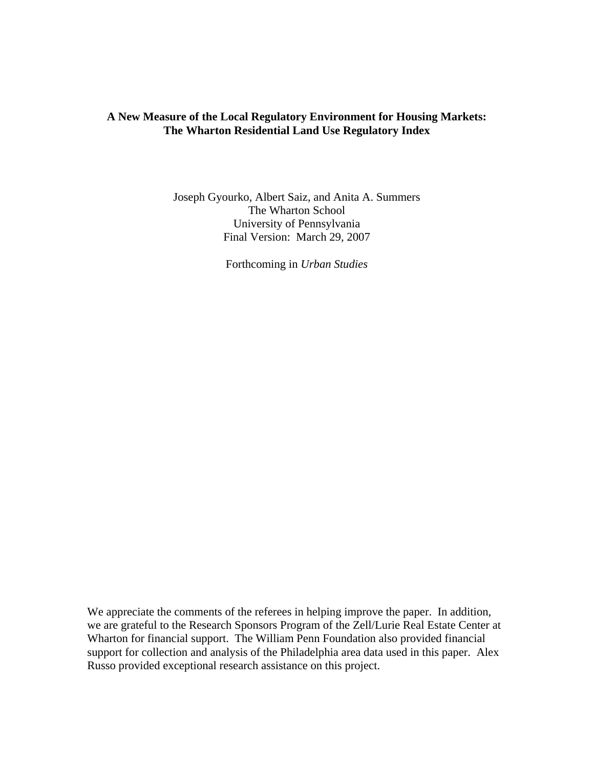### **A New Measure of the Local Regulatory Environment for Housing Markets: The Wharton Residential Land Use Regulatory Index**

Joseph Gyourko, Albert Saiz, and Anita A. Summers The Wharton School University of Pennsylvania Final Version: March 29, 2007

Forthcoming in *Urban Studies*

We appreciate the comments of the referees in helping improve the paper. In addition, we are grateful to the Research Sponsors Program of the Zell/Lurie Real Estate Center at Wharton for financial support. The William Penn Foundation also provided financial support for collection and analysis of the Philadelphia area data used in this paper. Alex Russo provided exceptional research assistance on this project.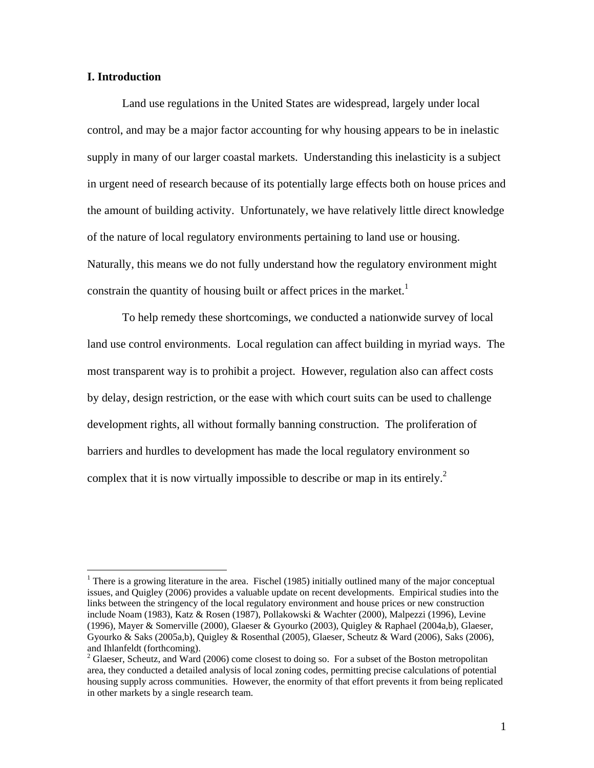### **I. Introduction**

 $\overline{a}$ 

Land use regulations in the United States are widespread, largely under local control, and may be a major factor accounting for why housing appears to be in inelastic supply in many of our larger coastal markets. Understanding this inelasticity is a subject in urgent need of research because of its potentially large effects both on house prices and the amount of building activity. Unfortunately, we have relatively little direct knowledge of the nature of local regulatory environments pertaining to land use or housing. Naturally, this means we do not fully understand how the regulatory environment might constrain the quantity of housing built or affect prices in the market.<sup>1</sup>

To help remedy these shortcomings, we conducted a nationwide survey of local land use control environments. Local regulation can affect building in myriad ways. The most transparent way is to prohibit a project. However, regulation also can affect costs by delay, design restriction, or the ease with which court suits can be used to challenge development rights, all without formally banning construction. The proliferation of barriers and hurdles to development has made the local regulatory environment so complex that it is now virtually impossible to describe or map in its entirely.<sup>2</sup>

<sup>&</sup>lt;sup>1</sup> There is a growing literature in the area. Fischel (1985) initially outlined many of the major conceptual issues, and Quigley (2006) provides a valuable update on recent developments. Empirical studies into the links between the stringency of the local regulatory environment and house prices or new construction include Noam (1983), Katz & Rosen (1987), Pollakowski & Wachter (2000), Malpezzi (1996), Levine (1996), Mayer & Somerville (2000), Glaeser & Gyourko (2003), Quigley & Raphael (2004a,b), Glaeser, Gyourko & Saks (2005a,b), Quigley & Rosenthal (2005), Glaeser, Scheutz & Ward (2006), Saks (2006), and Ihlanfeldt (forthcoming).

 $2^2$  Glaeser, Scheutz, and Ward (2006) come closest to doing so. For a subset of the Boston metropolitan area, they conducted a detailed analysis of local zoning codes, permitting precise calculations of potential housing supply across communities. However, the enormity of that effort prevents it from being replicated in other markets by a single research team.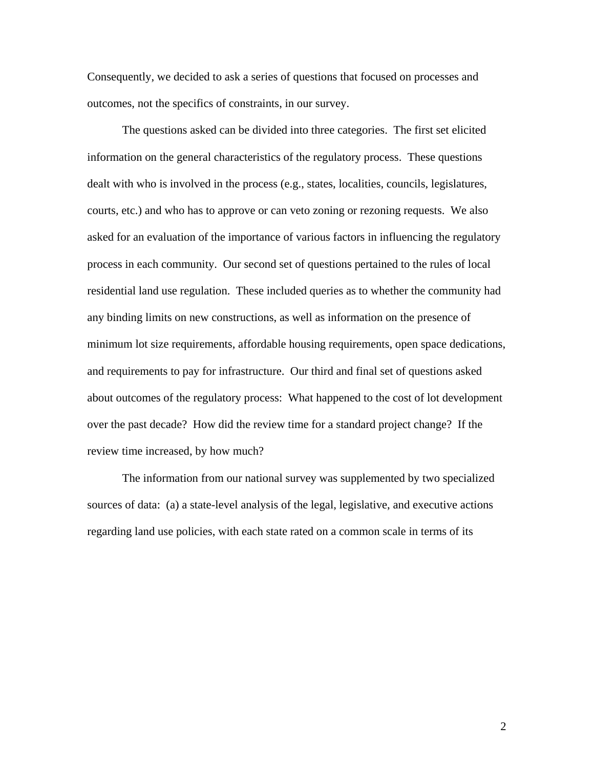Consequently, we decided to ask a series of questions that focused on processes and outcomes, not the specifics of constraints, in our survey.

The questions asked can be divided into three categories. The first set elicited information on the general characteristics of the regulatory process. These questions dealt with who is involved in the process (e.g., states, localities, councils, legislatures, courts, etc.) and who has to approve or can veto zoning or rezoning requests. We also asked for an evaluation of the importance of various factors in influencing the regulatory process in each community. Our second set of questions pertained to the rules of local residential land use regulation. These included queries as to whether the community had any binding limits on new constructions, as well as information on the presence of minimum lot size requirements, affordable housing requirements, open space dedications, and requirements to pay for infrastructure. Our third and final set of questions asked about outcomes of the regulatory process: What happened to the cost of lot development over the past decade? How did the review time for a standard project change? If the review time increased, by how much?

The information from our national survey was supplemented by two specialized sources of data: (a) a state-level analysis of the legal, legislative, and executive actions regarding land use policies, with each state rated on a common scale in terms of its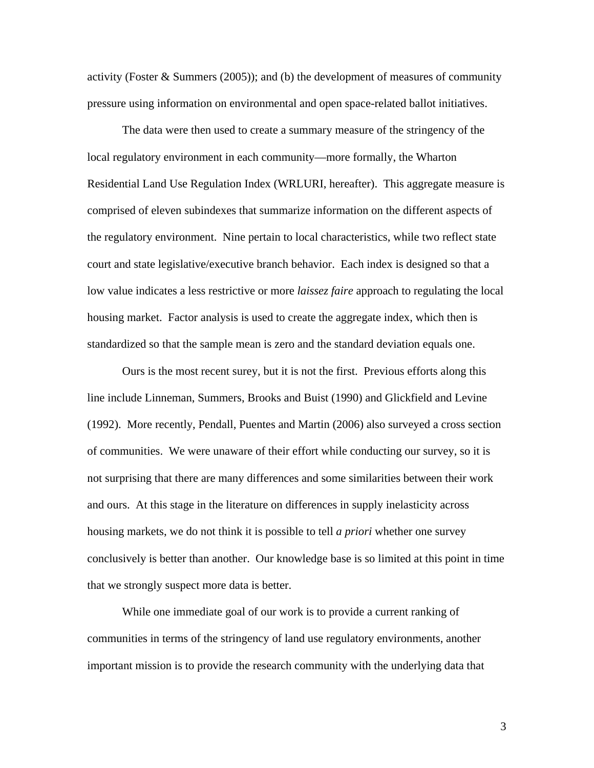activity (Foster  $\&$  Summers (2005)); and (b) the development of measures of community pressure using information on environmental and open space-related ballot initiatives.

The data were then used to create a summary measure of the stringency of the local regulatory environment in each community—more formally, the Wharton Residential Land Use Regulation Index (WRLURI, hereafter). This aggregate measure is comprised of eleven subindexes that summarize information on the different aspects of the regulatory environment. Nine pertain to local characteristics, while two reflect state court and state legislative/executive branch behavior. Each index is designed so that a low value indicates a less restrictive or more *laissez faire* approach to regulating the local housing market. Factor analysis is used to create the aggregate index, which then is standardized so that the sample mean is zero and the standard deviation equals one.

Ours is the most recent surey, but it is not the first. Previous efforts along this line include Linneman, Summers, Brooks and Buist (1990) and Glickfield and Levine (1992). More recently, Pendall, Puentes and Martin (2006) also surveyed a cross section of communities. We were unaware of their effort while conducting our survey, so it is not surprising that there are many differences and some similarities between their work and ours. At this stage in the literature on differences in supply inelasticity across housing markets, we do not think it is possible to tell *a priori* whether one survey conclusively is better than another. Our knowledge base is so limited at this point in time that we strongly suspect more data is better.

While one immediate goal of our work is to provide a current ranking of communities in terms of the stringency of land use regulatory environments, another important mission is to provide the research community with the underlying data that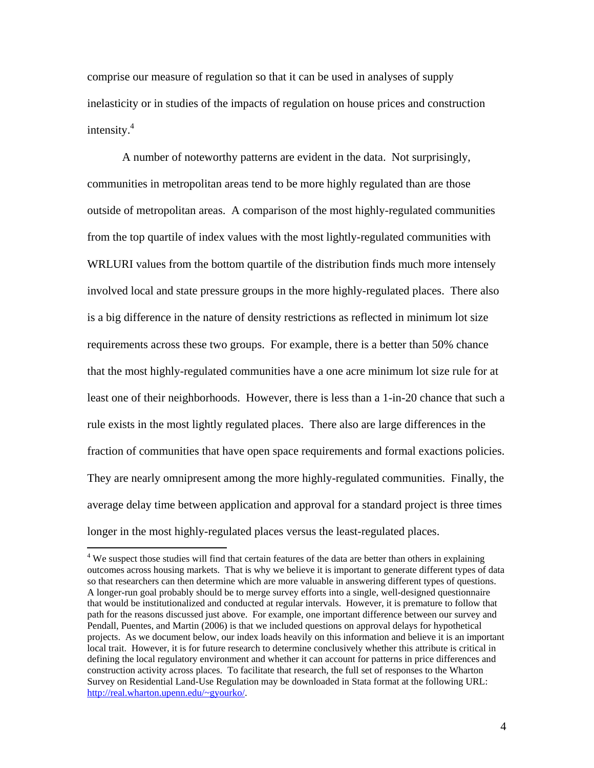comprise our measure of regulation so that it can be used in analyses of supply inelasticity or in studies of the impacts of regulation on house prices and construction intensity.<sup>4</sup>

 A number of noteworthy patterns are evident in the data. Not surprisingly, communities in metropolitan areas tend to be more highly regulated than are those outside of metropolitan areas. A comparison of the most highly-regulated communities from the top quartile of index values with the most lightly-regulated communities with WRLURI values from the bottom quartile of the distribution finds much more intensely involved local and state pressure groups in the more highly-regulated places. There also is a big difference in the nature of density restrictions as reflected in minimum lot size requirements across these two groups. For example, there is a better than 50% chance that the most highly-regulated communities have a one acre minimum lot size rule for at least one of their neighborhoods. However, there is less than a 1-in-20 chance that such a rule exists in the most lightly regulated places. There also are large differences in the fraction of communities that have open space requirements and formal exactions policies. They are nearly omnipresent among the more highly-regulated communities. Finally, the average delay time between application and approval for a standard project is three times longer in the most highly-regulated places versus the least-regulated places.

<sup>&</sup>lt;sup>4</sup> We suspect those studies will find that certain features of the data are better than others in explaining outcomes across housing markets. That is why we believe it is important to generate different types of data so that researchers can then determine which are more valuable in answering different types of questions. A longer-run goal probably should be to merge survey efforts into a single, well-designed questionnaire that would be institutionalized and conducted at regular intervals. However, it is premature to follow that path for the reasons discussed just above. For example, one important difference between our survey and Pendall, Puentes, and Martin (2006) is that we included questions on approval delays for hypothetical projects. As we document below, our index loads heavily on this information and believe it is an important local trait. However, it is for future research to determine conclusively whether this attribute is critical in defining the local regulatory environment and whether it can account for patterns in price differences and construction activity across places. To facilitate that research, the full set of responses to the Wharton Survey on Residential Land-Use Regulation may be downloaded in Stata format at the following URL: http://real.wharton.upenn.edu/~gyourko/.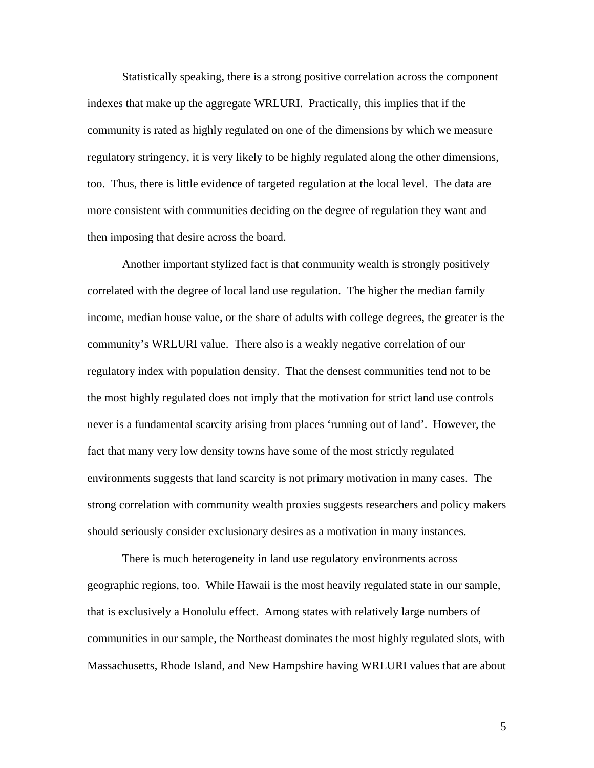Statistically speaking, there is a strong positive correlation across the component indexes that make up the aggregate WRLURI. Practically, this implies that if the community is rated as highly regulated on one of the dimensions by which we measure regulatory stringency, it is very likely to be highly regulated along the other dimensions, too. Thus, there is little evidence of targeted regulation at the local level. The data are more consistent with communities deciding on the degree of regulation they want and then imposing that desire across the board.

 Another important stylized fact is that community wealth is strongly positively correlated with the degree of local land use regulation. The higher the median family income, median house value, or the share of adults with college degrees, the greater is the community's WRLURI value. There also is a weakly negative correlation of our regulatory index with population density. That the densest communities tend not to be the most highly regulated does not imply that the motivation for strict land use controls never is a fundamental scarcity arising from places 'running out of land'. However, the fact that many very low density towns have some of the most strictly regulated environments suggests that land scarcity is not primary motivation in many cases. The strong correlation with community wealth proxies suggests researchers and policy makers should seriously consider exclusionary desires as a motivation in many instances.

 There is much heterogeneity in land use regulatory environments across geographic regions, too. While Hawaii is the most heavily regulated state in our sample, that is exclusively a Honolulu effect. Among states with relatively large numbers of communities in our sample, the Northeast dominates the most highly regulated slots, with Massachusetts, Rhode Island, and New Hampshire having WRLURI values that are about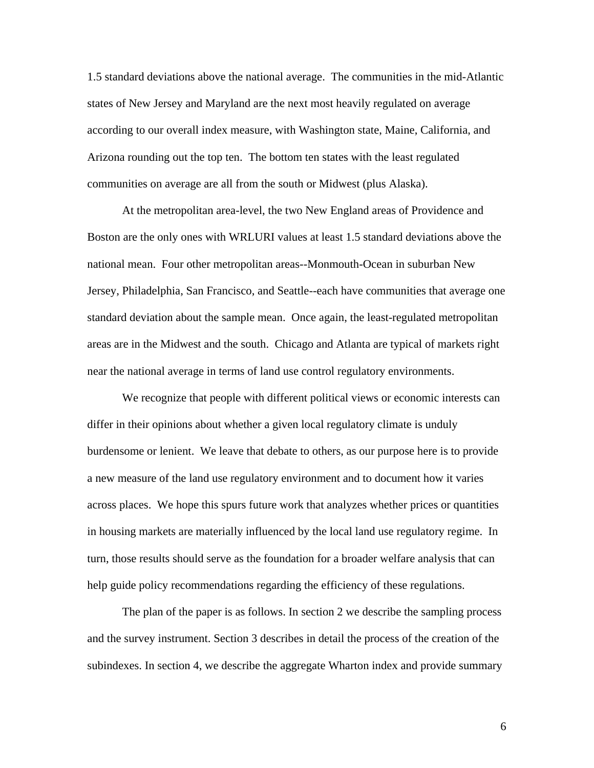1.5 standard deviations above the national average. The communities in the mid-Atlantic states of New Jersey and Maryland are the next most heavily regulated on average according to our overall index measure, with Washington state, Maine, California, and Arizona rounding out the top ten. The bottom ten states with the least regulated communities on average are all from the south or Midwest (plus Alaska).

 At the metropolitan area-level, the two New England areas of Providence and Boston are the only ones with WRLURI values at least 1.5 standard deviations above the national mean. Four other metropolitan areas--Monmouth-Ocean in suburban New Jersey, Philadelphia, San Francisco, and Seattle--each have communities that average one standard deviation about the sample mean. Once again, the least-regulated metropolitan areas are in the Midwest and the south. Chicago and Atlanta are typical of markets right near the national average in terms of land use control regulatory environments.

We recognize that people with different political views or economic interests can differ in their opinions about whether a given local regulatory climate is unduly burdensome or lenient. We leave that debate to others, as our purpose here is to provide a new measure of the land use regulatory environment and to document how it varies across places. We hope this spurs future work that analyzes whether prices or quantities in housing markets are materially influenced by the local land use regulatory regime. In turn, those results should serve as the foundation for a broader welfare analysis that can help guide policy recommendations regarding the efficiency of these regulations.

The plan of the paper is as follows. In section 2 we describe the sampling process and the survey instrument. Section 3 describes in detail the process of the creation of the subindexes. In section 4, we describe the aggregate Wharton index and provide summary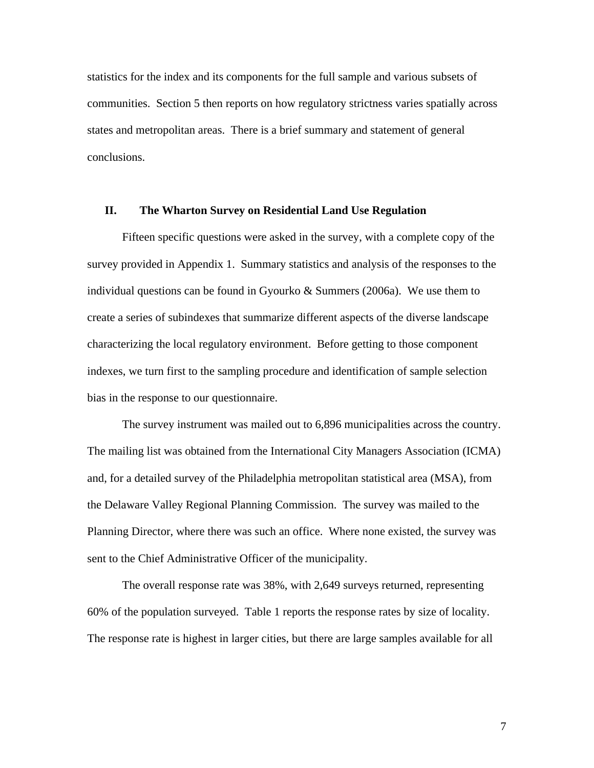statistics for the index and its components for the full sample and various subsets of communities. Section 5 then reports on how regulatory strictness varies spatially across states and metropolitan areas. There is a brief summary and statement of general conclusions.

### **II. The Wharton Survey on Residential Land Use Regulation**

Fifteen specific questions were asked in the survey, with a complete copy of the survey provided in Appendix 1. Summary statistics and analysis of the responses to the individual questions can be found in Gyourko  $\&$  Summers (2006a). We use them to create a series of subindexes that summarize different aspects of the diverse landscape characterizing the local regulatory environment. Before getting to those component indexes, we turn first to the sampling procedure and identification of sample selection bias in the response to our questionnaire.

The survey instrument was mailed out to 6,896 municipalities across the country. The mailing list was obtained from the International City Managers Association (ICMA) and, for a detailed survey of the Philadelphia metropolitan statistical area (MSA), from the Delaware Valley Regional Planning Commission. The survey was mailed to the Planning Director, where there was such an office. Where none existed, the survey was sent to the Chief Administrative Officer of the municipality.

The overall response rate was 38%, with 2,649 surveys returned, representing 60% of the population surveyed. Table 1 reports the response rates by size of locality. The response rate is highest in larger cities, but there are large samples available for all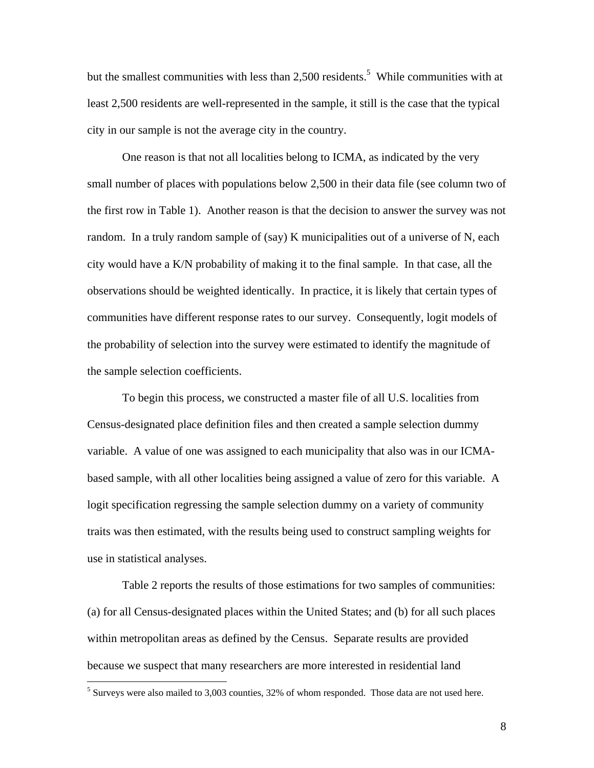but the smallest communities with less than  $2,500$  residents.<sup>5</sup> While communities with at least 2,500 residents are well-represented in the sample, it still is the case that the typical city in our sample is not the average city in the country.

One reason is that not all localities belong to ICMA, as indicated by the very small number of places with populations below 2,500 in their data file (see column two of the first row in Table 1). Another reason is that the decision to answer the survey was not random. In a truly random sample of (say) K municipalities out of a universe of N, each city would have a K/N probability of making it to the final sample. In that case, all the observations should be weighted identically. In practice, it is likely that certain types of communities have different response rates to our survey. Consequently, logit models of the probability of selection into the survey were estimated to identify the magnitude of the sample selection coefficients.

To begin this process, we constructed a master file of all U.S. localities from Census-designated place definition files and then created a sample selection dummy variable. A value of one was assigned to each municipality that also was in our ICMAbased sample, with all other localities being assigned a value of zero for this variable. A logit specification regressing the sample selection dummy on a variety of community traits was then estimated, with the results being used to construct sampling weights for use in statistical analyses.

Table 2 reports the results of those estimations for two samples of communities: (a) for all Census-designated places within the United States; and (b) for all such places within metropolitan areas as defined by the Census. Separate results are provided because we suspect that many researchers are more interested in residential land

 $\overline{a}$ 

 $<sup>5</sup>$  Surveys were also mailed to 3,003 counties, 32% of whom responded. Those data are not used here.</sup>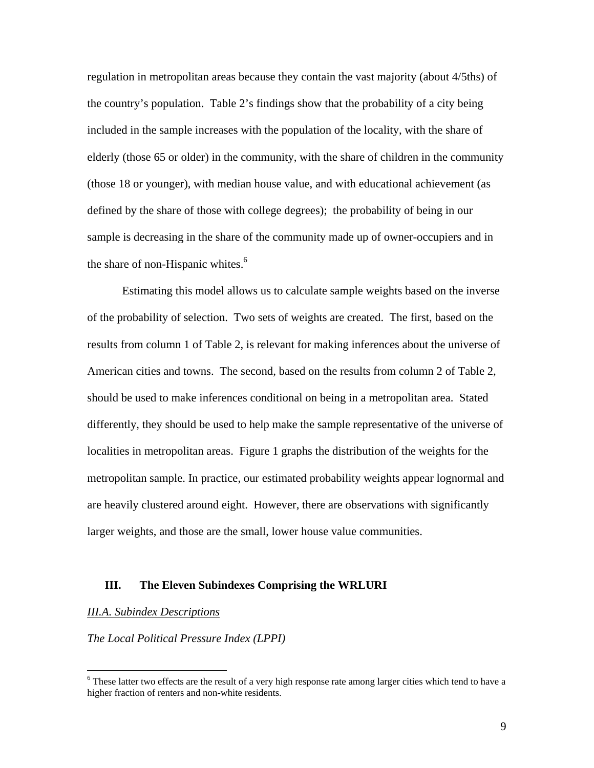regulation in metropolitan areas because they contain the vast majority (about 4/5ths) of the country's population. Table 2's findings show that the probability of a city being included in the sample increases with the population of the locality, with the share of elderly (those 65 or older) in the community, with the share of children in the community (those 18 or younger), with median house value, and with educational achievement (as defined by the share of those with college degrees); the probability of being in our sample is decreasing in the share of the community made up of owner-occupiers and in the share of non-Hispanic whites.<sup>6</sup>

 Estimating this model allows us to calculate sample weights based on the inverse of the probability of selection. Two sets of weights are created. The first, based on the results from column 1 of Table 2, is relevant for making inferences about the universe of American cities and towns. The second, based on the results from column 2 of Table 2, should be used to make inferences conditional on being in a metropolitan area. Stated differently, they should be used to help make the sample representative of the universe of localities in metropolitan areas. Figure 1 graphs the distribution of the weights for the metropolitan sample. In practice, our estimated probability weights appear lognormal and are heavily clustered around eight. However, there are observations with significantly larger weights, and those are the small, lower house value communities.

### **III. The Eleven Subindexes Comprising the WRLURI**

### *III.A. Subindex Descriptions*

 $\overline{a}$ 

*The Local Political Pressure Index (LPPI)* 

<sup>&</sup>lt;sup>6</sup> These latter two effects are the result of a very high response rate among larger cities which tend to have a higher fraction of renters and non-white residents.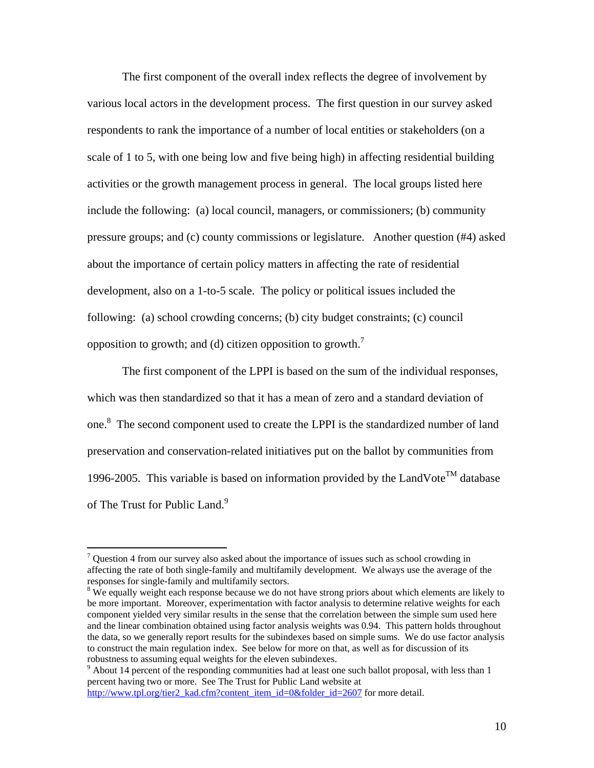The first component of the overall index reflects the degree of involvement by various local actors in the development process. The first question in our survey asked respondents to rank the importance of a number of local entities or stakeholders (on a scale of 1 to 5, with one being low and five being high) in affecting residential building activities or the growth management process in general. The local groups listed here include the following: (a) local council, managers, or commissioners; (b) community pressure groups; and (c) county commissions or legislature. Another question (#4) asked about the importance of certain policy matters in affecting the rate of residential development, also on a 1-to-5 scale. The policy or political issues included the following: (a) school crowding concerns; (b) city budget constraints; (c) council opposition to growth; and (d) citizen opposition to growth.<sup>7</sup>

The first component of the LPPI is based on the sum of the individual responses, which was then standardized so that it has a mean of zero and a standard deviation of one.<sup>8</sup> The second component used to create the LPPI is the standardized number of land preservation and conservation-related initiatives put on the ballot by communities from 1996-2005. This variable is based on information provided by the LandVote<sup>TM</sup> database of The Trust for Public Land.<sup>9</sup>

 $\overline{a}$ 

 $7$  Question 4 from our survey also asked about the importance of issues such as school crowding in affecting the rate of both single-family and multifamily development. We always use the average of the responses for single-family and multifamily sectors.

 $8 \text{ We equally weight each response because we do not have strong priors about which elements are likely to$ be more important. Moreover, experimentation with factor analysis to determine relative weights for each component yielded very similar results in the sense that the correlation between the simple sum used here and the linear combination obtained using factor analysis weights was 0.94. This pattern holds throughout the data, so we generally report results for the subindexes based on simple sums. We do use factor analysis to construct the main regulation index. See below for more on that, as well as for discussion of its robustness to assuming equal weights for the eleven subindexes.

<sup>&</sup>lt;sup>9</sup> About 14 percent of the responding communities had at least one such ballot proposal, with less than 1 percent having two or more. See The Trust for Public Land website at http://www.tpl.org/tier2\_kad.cfm?content\_item\_id=0&folder\_id=2607 for more detail.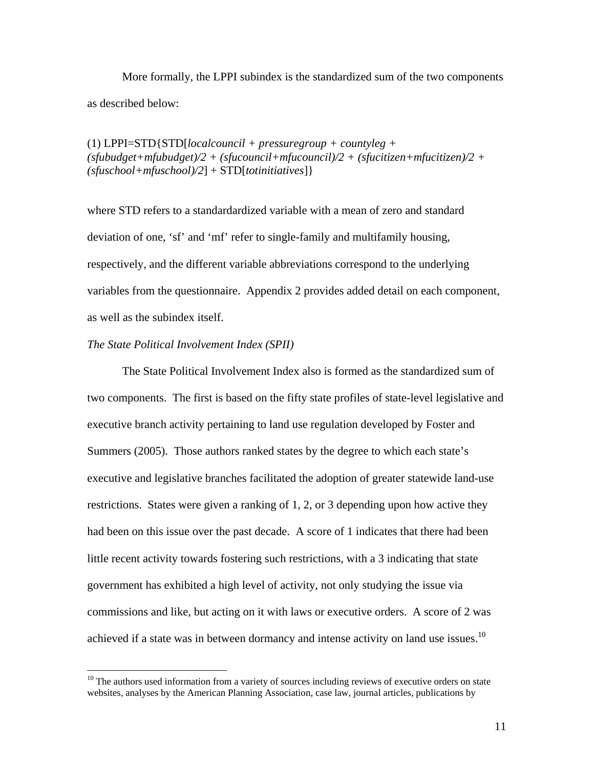More formally, the LPPI subindex is the standardized sum of the two components as described below:

### (1) LPPI=STD{STD[*localcouncil + pressuregroup + countyleg + (sfubudget+mfubudget)/2 + (sfucouncil+mfucouncil)/2 + (sfucitizen+mfucitizen)/2 + (sfuschool+mfuschool)/2*] + STD[*totinitiatives*]}

where STD refers to a standardardized variable with a mean of zero and standard deviation of one, 'sf' and 'mf' refer to single-family and multifamily housing, respectively, and the different variable abbreviations correspond to the underlying variables from the questionnaire. Appendix 2 provides added detail on each component, as well as the subindex itself.

#### *The State Political Involvement Index (SPII)*

1

The State Political Involvement Index also is formed as the standardized sum of two components. The first is based on the fifty state profiles of state-level legislative and executive branch activity pertaining to land use regulation developed by Foster and Summers (2005). Those authors ranked states by the degree to which each state's executive and legislative branches facilitated the adoption of greater statewide land-use restrictions. States were given a ranking of 1, 2, or 3 depending upon how active they had been on this issue over the past decade. A score of 1 indicates that there had been little recent activity towards fostering such restrictions, with a 3 indicating that state government has exhibited a high level of activity, not only studying the issue via commissions and like, but acting on it with laws or executive orders. A score of 2 was achieved if a state was in between dormancy and intense activity on land use issues.<sup>10</sup>

 $10$  The authors used information from a variety of sources including reviews of executive orders on state websites, analyses by the American Planning Association, case law, journal articles, publications by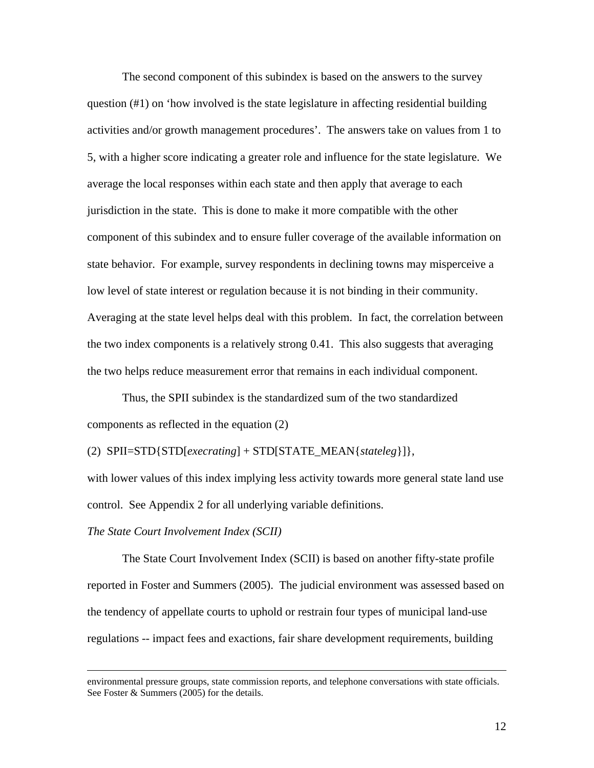The second component of this subindex is based on the answers to the survey question (#1) on 'how involved is the state legislature in affecting residential building activities and/or growth management procedures'. The answers take on values from 1 to 5, with a higher score indicating a greater role and influence for the state legislature. We average the local responses within each state and then apply that average to each jurisdiction in the state. This is done to make it more compatible with the other component of this subindex and to ensure fuller coverage of the available information on state behavior. For example, survey respondents in declining towns may misperceive a low level of state interest or regulation because it is not binding in their community. Averaging at the state level helps deal with this problem. In fact, the correlation between the two index components is a relatively strong 0.41. This also suggests that averaging the two helps reduce measurement error that remains in each individual component.

Thus, the SPII subindex is the standardized sum of the two standardized components as reflected in the equation (2)

with lower values of this index implying less activity towards more general state land use control. See Appendix 2 for all underlying variable definitions.

#### *The State Court Involvement Index (SCII)*

The State Court Involvement Index (SCII) is based on another fifty-state profile reported in Foster and Summers (2005). The judicial environment was assessed based on the tendency of appellate courts to uphold or restrain four types of municipal land-use regulations -- impact fees and exactions, fair share development requirements, building

<sup>(2)</sup> SPII=STD{STD[*execrating*] + STD[STATE\_MEAN{*stateleg*}]},

environmental pressure groups, state commission reports, and telephone conversations with state officials. See Foster & Summers (2005) for the details.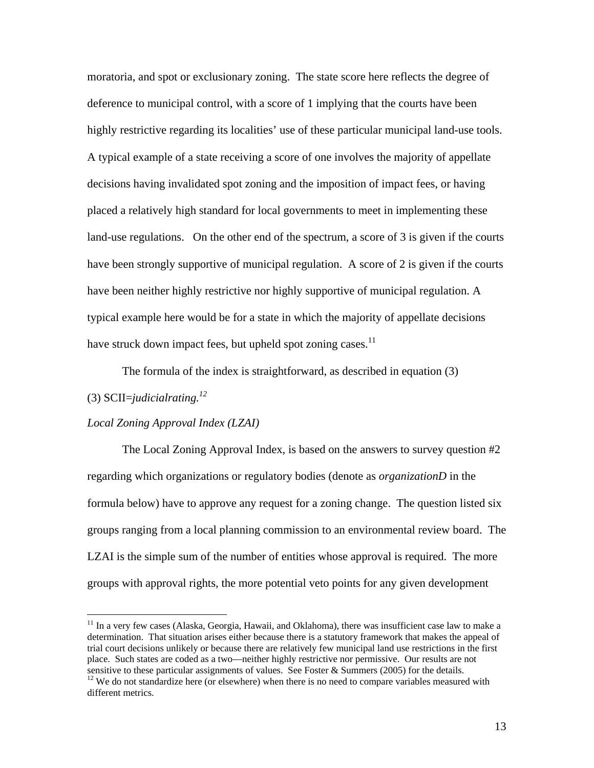moratoria, and spot or exclusionary zoning. The state score here reflects the degree of deference to municipal control, with a score of 1 implying that the courts have been highly restrictive regarding its localities' use of these particular municipal land-use tools. A typical example of a state receiving a score of one involves the majority of appellate decisions having invalidated spot zoning and the imposition of impact fees, or having placed a relatively high standard for local governments to meet in implementing these land-use regulations. On the other end of the spectrum, a score of 3 is given if the courts have been strongly supportive of municipal regulation. A score of 2 is given if the courts have been neither highly restrictive nor highly supportive of municipal regulation. A typical example here would be for a state in which the majority of appellate decisions have struck down impact fees, but upheld spot zoning cases.<sup>11</sup>

The formula of the index is straightforward, as described in equation (3)

### (3) SCII=*judicialrating.12*

 $\overline{a}$ 

### *Local Zoning Approval Index (LZAI)*

The Local Zoning Approval Index, is based on the answers to survey question #2 regarding which organizations or regulatory bodies (denote as *organizationD* in the formula below) have to approve any request for a zoning change. The question listed six groups ranging from a local planning commission to an environmental review board. The LZAI is the simple sum of the number of entities whose approval is required. The more groups with approval rights, the more potential veto points for any given development

<sup>&</sup>lt;sup>11</sup> In a very few cases (Alaska, Georgia, Hawaii, and Oklahoma), there was insufficient case law to make a determination. That situation arises either because there is a statutory framework that makes the appeal of trial court decisions unlikely or because there are relatively few municipal land use restrictions in the first place. Such states are coded as a two—neither highly restrictive nor permissive. Our results are not sensitive to these particular assignments of values. See Foster & Summers (2005) for the details.

 $12$  We do not standardize here (or elsewhere) when there is no need to compare variables measured with different metrics.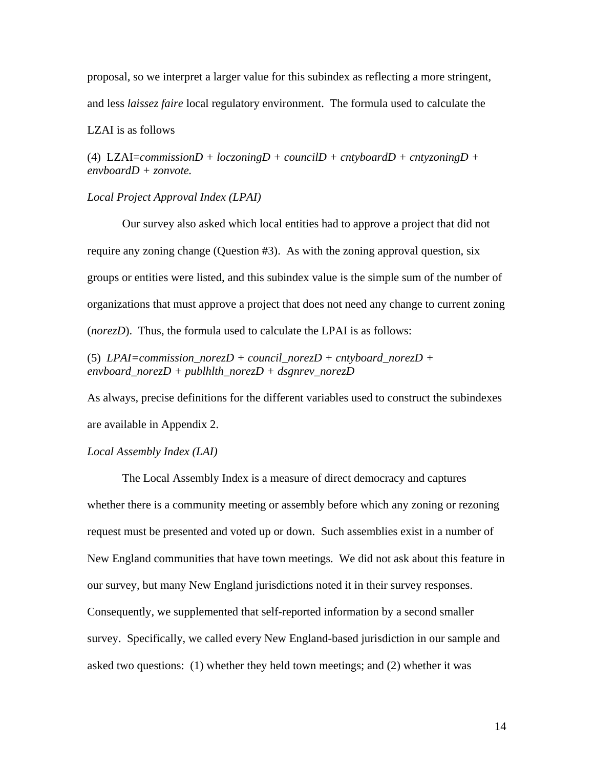proposal, so we interpret a larger value for this subindex as reflecting a more stringent, and less *laissez faire* local regulatory environment. The formula used to calculate the

### LZAI is as follows

(4) LZAI=*commissionD* + *loczoningD* + *councilD* + *cntyboardD* + *cntyzoningD* + *envboardD + zonvote.*

### *Local Project Approval Index (LPAI)*

Our survey also asked which local entities had to approve a project that did not require any zoning change (Question #3). As with the zoning approval question, six groups or entities were listed, and this subindex value is the simple sum of the number of organizations that must approve a project that does not need any change to current zoning (*norezD*). Thus, the formula used to calculate the LPAI is as follows:

(5) *LPAI*=commission\_norezD + council\_norezD + cntyboard\_norezD + *envboard\_norezD + publhlth\_norezD + dsgnrev\_norezD*

As always, precise definitions for the different variables used to construct the subindexes are available in Appendix 2.

### *Local Assembly Index (LAI)*

 The Local Assembly Index is a measure of direct democracy and captures whether there is a community meeting or assembly before which any zoning or rezoning request must be presented and voted up or down. Such assemblies exist in a number of New England communities that have town meetings. We did not ask about this feature in our survey, but many New England jurisdictions noted it in their survey responses. Consequently, we supplemented that self-reported information by a second smaller survey. Specifically, we called every New England-based jurisdiction in our sample and asked two questions: (1) whether they held town meetings; and (2) whether it was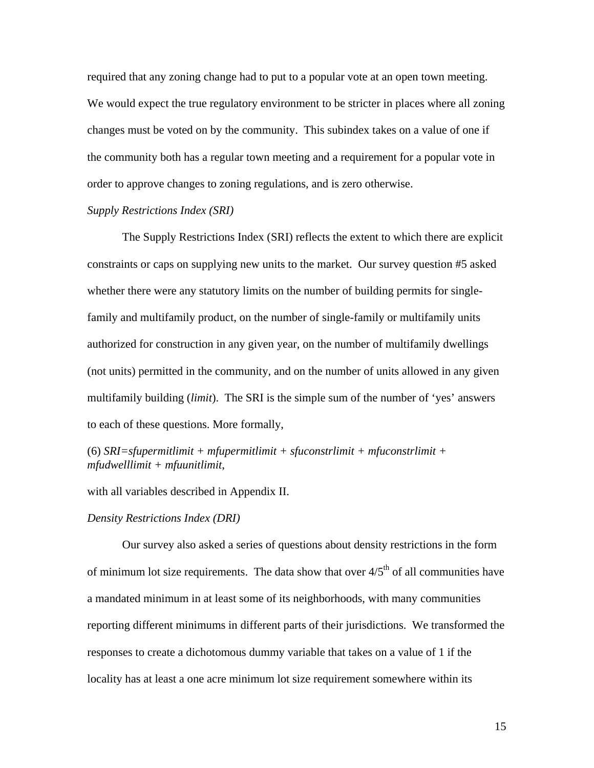required that any zoning change had to put to a popular vote at an open town meeting. We would expect the true regulatory environment to be stricter in places where all zoning changes must be voted on by the community. This subindex takes on a value of one if the community both has a regular town meeting and a requirement for a popular vote in order to approve changes to zoning regulations, and is zero otherwise.

### *Supply Restrictions Index (SRI)*

The Supply Restrictions Index (SRI) reflects the extent to which there are explicit constraints or caps on supplying new units to the market. Our survey question #5 asked whether there were any statutory limits on the number of building permits for singlefamily and multifamily product, on the number of single-family or multifamily units authorized for construction in any given year, on the number of multifamily dwellings (not units) permitted in the community, and on the number of units allowed in any given multifamily building (*limit*). The SRI is the simple sum of the number of 'yes' answers to each of these questions. More formally,

(6) *SRI=sfupermitlimit + mfupermitlimit + sfuconstrlimit + mfuconstrlimit + mfudwelllimit + mfuunitlimit*,

with all variables described in Appendix II.

### *Density Restrictions Index (DRI)*

Our survey also asked a series of questions about density restrictions in the form of minimum lot size requirements. The data show that over  $4/5<sup>th</sup>$  of all communities have a mandated minimum in at least some of its neighborhoods, with many communities reporting different minimums in different parts of their jurisdictions. We transformed the responses to create a dichotomous dummy variable that takes on a value of 1 if the locality has at least a one acre minimum lot size requirement somewhere within its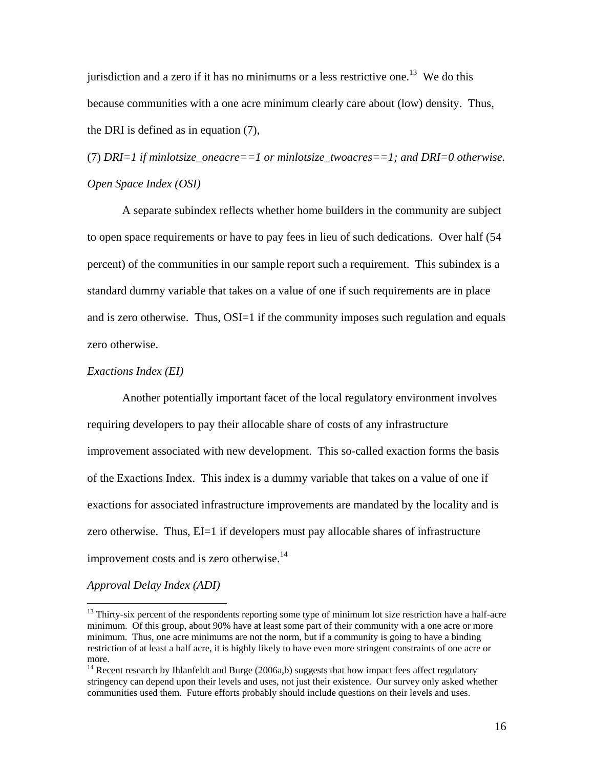jurisdiction and a zero if it has no minimums or a less restrictive one.<sup>13</sup> We do this because communities with a one acre minimum clearly care about (low) density. Thus, the DRI is defined as in equation (7),

(7) *DRI=1 if minlotsize\_oneacre==1 or minlotsize\_twoacres==1; and DRI=0 otherwise. Open Space Index (OSI)* 

A separate subindex reflects whether home builders in the community are subject to open space requirements or have to pay fees in lieu of such dedications. Over half (54 percent) of the communities in our sample report such a requirement. This subindex is a standard dummy variable that takes on a value of one if such requirements are in place and is zero otherwise. Thus, OSI=1 if the community imposes such regulation and equals zero otherwise.

#### *Exactions Index (EI)*

Another potentially important facet of the local regulatory environment involves requiring developers to pay their allocable share of costs of any infrastructure improvement associated with new development. This so-called exaction forms the basis of the Exactions Index. This index is a dummy variable that takes on a value of one if exactions for associated infrastructure improvements are mandated by the locality and is zero otherwise. Thus, EI=1 if developers must pay allocable shares of infrastructure improvement costs and is zero otherwise.<sup>14</sup>

#### *Approval Delay Index (ADI)*

 $\overline{a}$ 

<sup>&</sup>lt;sup>13</sup> Thirty-six percent of the respondents reporting some type of minimum lot size restriction have a half-acre minimum. Of this group, about 90% have at least some part of their community with a one acre or more minimum. Thus, one acre minimums are not the norm, but if a community is going to have a binding restriction of at least a half acre, it is highly likely to have even more stringent constraints of one acre or more.

<sup>&</sup>lt;sup>14</sup> Recent research by Ihlanfeldt and Burge (2006a,b) suggests that how impact fees affect regulatory stringency can depend upon their levels and uses, not just their existence. Our survey only asked whether communities used them. Future efforts probably should include questions on their levels and uses.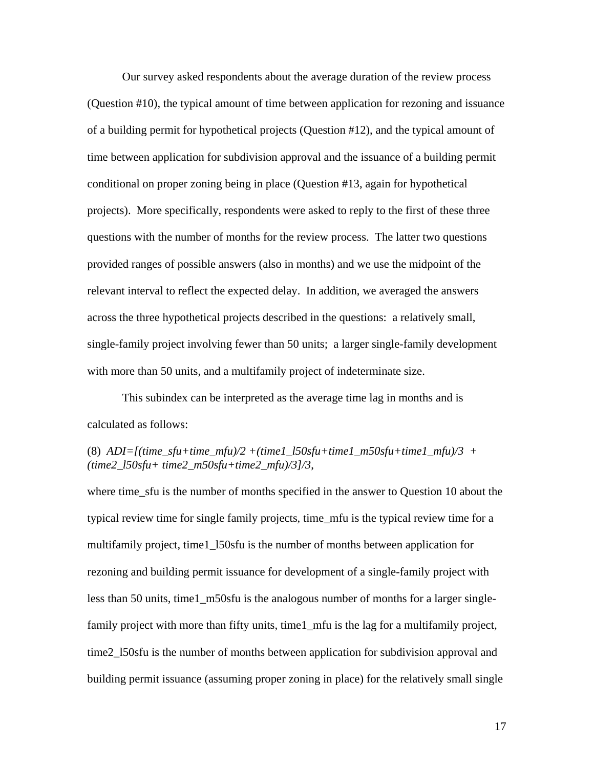Our survey asked respondents about the average duration of the review process (Question #10), the typical amount of time between application for rezoning and issuance of a building permit for hypothetical projects (Question #12), and the typical amount of time between application for subdivision approval and the issuance of a building permit conditional on proper zoning being in place (Question #13, again for hypothetical projects). More specifically, respondents were asked to reply to the first of these three questions with the number of months for the review process. The latter two questions provided ranges of possible answers (also in months) and we use the midpoint of the relevant interval to reflect the expected delay. In addition, we averaged the answers across the three hypothetical projects described in the questions: a relatively small, single-family project involving fewer than 50 units; a larger single-family development with more than 50 units, and a multifamily project of indeterminate size.

This subindex can be interpreted as the average time lag in months and is calculated as follows:

### (8) *ADI=[(time\_sfu+time\_mfu)/2 +(time1\_l50sfu+time1\_m50sfu+time1\_mfu)/3 + (time2\_l50sfu+ time2\_m50sfu+time2\_mfu)/3]/3*,

where time sfu is the number of months specified in the answer to Question 10 about the typical review time for single family projects, time\_mfu is the typical review time for a multifamily project, time1\_l50sfu is the number of months between application for rezoning and building permit issuance for development of a single-family project with less than 50 units, time1\_m50sfu is the analogous number of months for a larger singlefamily project with more than fifty units, time1\_mfu is the lag for a multifamily project, time2\_l50sfu is the number of months between application for subdivision approval and building permit issuance (assuming proper zoning in place) for the relatively small single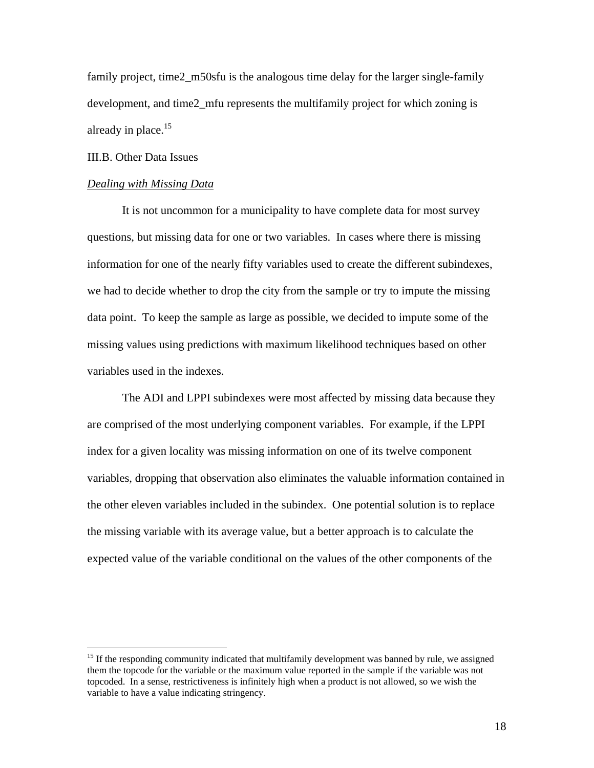family project, time2\_m50sfu is the analogous time delay for the larger single-family development, and time2\_mfu represents the multifamily project for which zoning is already in place. $15$ 

### III.B. Other Data Issues

 $\overline{a}$ 

#### *Dealing with Missing Data*

It is not uncommon for a municipality to have complete data for most survey questions, but missing data for one or two variables. In cases where there is missing information for one of the nearly fifty variables used to create the different subindexes, we had to decide whether to drop the city from the sample or try to impute the missing data point. To keep the sample as large as possible, we decided to impute some of the missing values using predictions with maximum likelihood techniques based on other variables used in the indexes.

The ADI and LPPI subindexes were most affected by missing data because they are comprised of the most underlying component variables. For example, if the LPPI index for a given locality was missing information on one of its twelve component variables, dropping that observation also eliminates the valuable information contained in the other eleven variables included in the subindex. One potential solution is to replace the missing variable with its average value, but a better approach is to calculate the expected value of the variable conditional on the values of the other components of the

<sup>&</sup>lt;sup>15</sup> If the responding community indicated that multifamily development was banned by rule, we assigned them the topcode for the variable or the maximum value reported in the sample if the variable was not topcoded. In a sense, restrictiveness is infinitely high when a product is not allowed, so we wish the variable to have a value indicating stringency.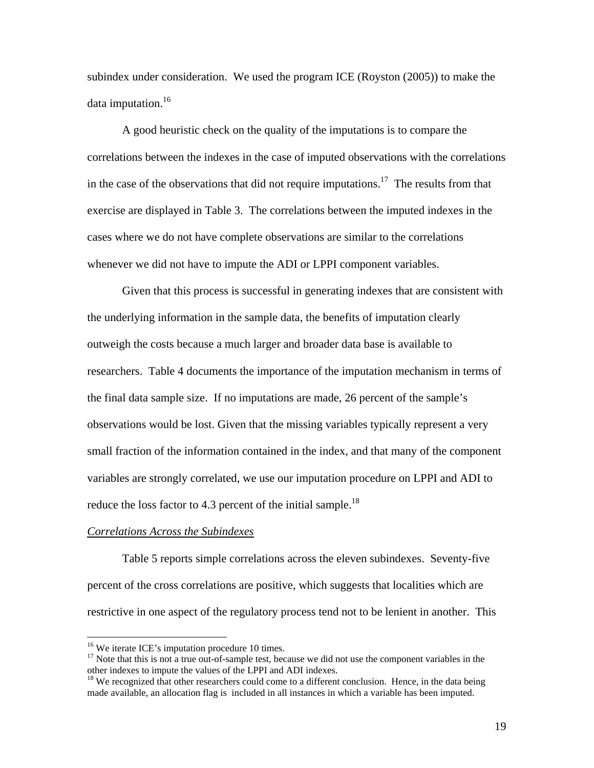subindex under consideration. We used the program ICE (Royston (2005)) to make the data imputation.<sup>16</sup>

A good heuristic check on the quality of the imputations is to compare the correlations between the indexes in the case of imputed observations with the correlations in the case of the observations that did not require imputations.<sup>17</sup> The results from that exercise are displayed in Table 3. The correlations between the imputed indexes in the cases where we do not have complete observations are similar to the correlations whenever we did not have to impute the ADI or LPPI component variables.

Given that this process is successful in generating indexes that are consistent with the underlying information in the sample data, the benefits of imputation clearly outweigh the costs because a much larger and broader data base is available to researchers. Table 4 documents the importance of the imputation mechanism in terms of the final data sample size. If no imputations are made, 26 percent of the sample's observations would be lost. Given that the missing variables typically represent a very small fraction of the information contained in the index, and that many of the component variables are strongly correlated, we use our imputation procedure on LPPI and ADI to reduce the loss factor to 4.3 percent of the initial sample.<sup>18</sup>

### *Correlations Across the Subindexes*

 Table 5 reports simple correlations across the eleven subindexes. Seventy-five percent of the cross correlations are positive, which suggests that localities which are restrictive in one aspect of the regulatory process tend not to be lenient in another. This

 $\overline{a}$ 

<sup>&</sup>lt;sup>16</sup> We iterate ICE's imputation procedure 10 times.

 $17$  Note that this is not a true out-of-sample test, because we did not use the component variables in the other indexes to impute the values of the LPPI and ADI indexes.

<sup>&</sup>lt;sup>18</sup> We recognized that other researchers could come to a different conclusion. Hence, in the data being made available, an allocation flag is included in all instances in which a variable has been imputed.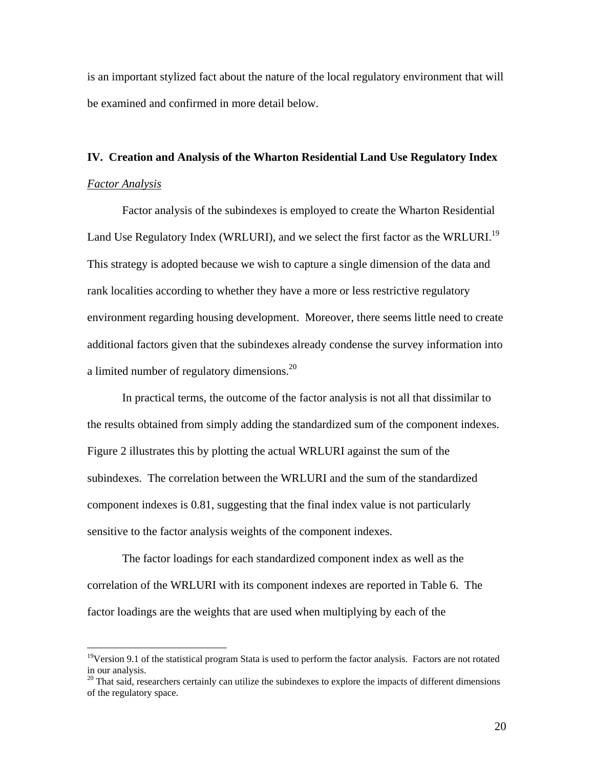is an important stylized fact about the nature of the local regulatory environment that will be examined and confirmed in more detail below.

### **IV. Creation and Analysis of the Wharton Residential Land Use Regulatory Index**

#### *Factor Analysis*

 $\overline{a}$ 

Factor analysis of the subindexes is employed to create the Wharton Residential Land Use Regulatory Index (WRLURI), and we select the first factor as the WRLURI.<sup>19</sup> This strategy is adopted because we wish to capture a single dimension of the data and rank localities according to whether they have a more or less restrictive regulatory environment regarding housing development. Moreover, there seems little need to create additional factors given that the subindexes already condense the survey information into a limited number of regulatory dimensions.20

In practical terms, the outcome of the factor analysis is not all that dissimilar to the results obtained from simply adding the standardized sum of the component indexes. Figure 2 illustrates this by plotting the actual WRLURI against the sum of the subindexes. The correlation between the WRLURI and the sum of the standardized component indexes is 0.81, suggesting that the final index value is not particularly sensitive to the factor analysis weights of the component indexes.

The factor loadings for each standardized component index as well as the correlation of the WRLURI with its component indexes are reported in Table 6. The factor loadings are the weights that are used when multiplying by each of the

<sup>&</sup>lt;sup>19</sup>Version 9.1 of the statistical program Stata is used to perform the factor analysis. Factors are not rotated in our analysis.

<sup>&</sup>lt;sup>20</sup> That said, researchers certainly can utilize the subindexes to explore the impacts of different dimensions of the regulatory space.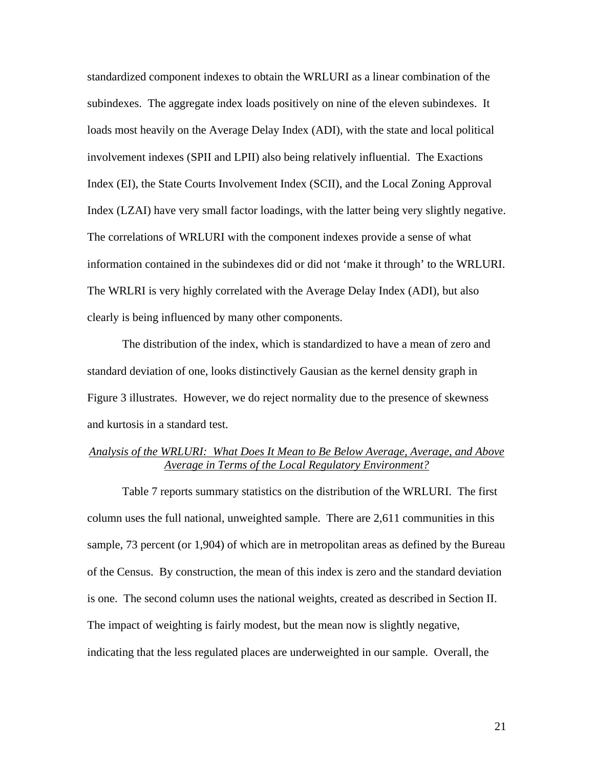standardized component indexes to obtain the WRLURI as a linear combination of the subindexes. The aggregate index loads positively on nine of the eleven subindexes. It loads most heavily on the Average Delay Index (ADI), with the state and local political involvement indexes (SPII and LPII) also being relatively influential. The Exactions Index (EI), the State Courts Involvement Index (SCII), and the Local Zoning Approval Index (LZAI) have very small factor loadings, with the latter being very slightly negative. The correlations of WRLURI with the component indexes provide a sense of what information contained in the subindexes did or did not 'make it through' to the WRLURI. The WRLRI is very highly correlated with the Average Delay Index (ADI), but also clearly is being influenced by many other components.

The distribution of the index, which is standardized to have a mean of zero and standard deviation of one, looks distinctively Gausian as the kernel density graph in Figure 3 illustrates. However, we do reject normality due to the presence of skewness and kurtosis in a standard test.

### *Analysis of the WRLURI: What Does It Mean to Be Below Average, Average, and Above Average in Terms of the Local Regulatory Environment?*

 Table 7 reports summary statistics on the distribution of the WRLURI. The first column uses the full national, unweighted sample. There are 2,611 communities in this sample, 73 percent (or 1,904) of which are in metropolitan areas as defined by the Bureau of the Census. By construction, the mean of this index is zero and the standard deviation is one. The second column uses the national weights, created as described in Section II. The impact of weighting is fairly modest, but the mean now is slightly negative, indicating that the less regulated places are underweighted in our sample. Overall, the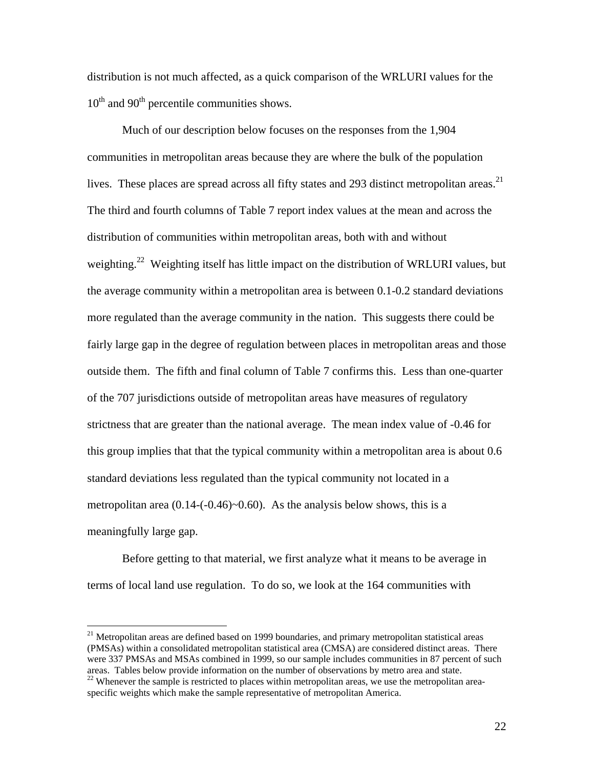distribution is not much affected, as a quick comparison of the WRLURI values for the  $10^{th}$  and 90<sup>th</sup> percentile communities shows.

 Much of our description below focuses on the responses from the 1,904 communities in metropolitan areas because they are where the bulk of the population lives. These places are spread across all fifty states and 293 distinct metropolitan areas.<sup>21</sup> The third and fourth columns of Table 7 report index values at the mean and across the distribution of communities within metropolitan areas, both with and without weighting.<sup>22</sup> Weighting itself has little impact on the distribution of WRLURI values, but the average community within a metropolitan area is between 0.1-0.2 standard deviations more regulated than the average community in the nation. This suggests there could be fairly large gap in the degree of regulation between places in metropolitan areas and those outside them. The fifth and final column of Table 7 confirms this. Less than one-quarter of the 707 jurisdictions outside of metropolitan areas have measures of regulatory strictness that are greater than the national average. The mean index value of -0.46 for this group implies that that the typical community within a metropolitan area is about 0.6 standard deviations less regulated than the typical community not located in a metropolitan area  $(0.14$ - $(-0.46)$  $\sim$  $0.60)$ . As the analysis below shows, this is a meaningfully large gap.

 Before getting to that material, we first analyze what it means to be average in terms of local land use regulation. To do so, we look at the 164 communities with

 $\overline{a}$ 

<sup>&</sup>lt;sup>21</sup> Metropolitan areas are defined based on 1999 boundaries, and primary metropolitan statistical areas (PMSAs) within a consolidated metropolitan statistical area (CMSA) are considered distinct areas. There were 337 PMSAs and MSAs combined in 1999, so our sample includes communities in 87 percent of such areas. Tables below provide information on the number of observations by metro area and state. <sup>22</sup> Whenever the sample is restricted to places within metropolitan areas, we use the metropolitan area-

specific weights which make the sample representative of metropolitan America.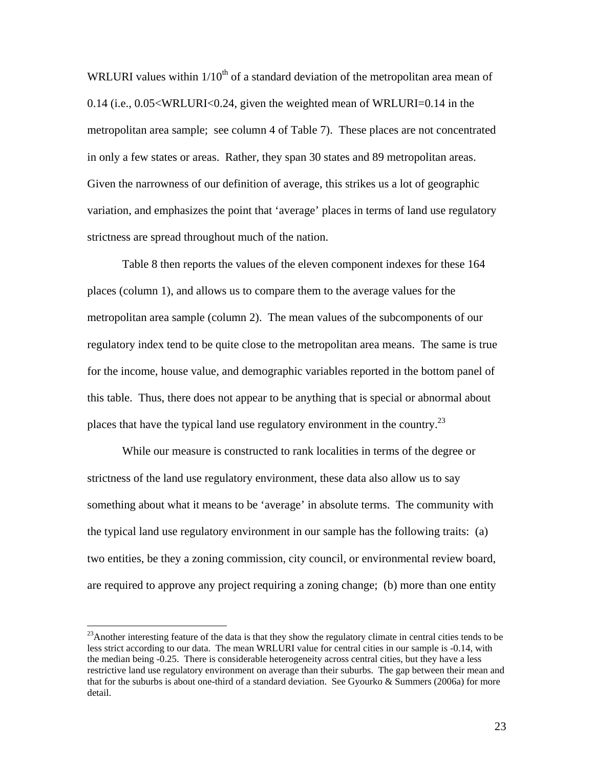WRLURI values within  $1/10^{th}$  of a standard deviation of the metropolitan area mean of 0.14 (i.e., 0.05<WRLURI<0.24, given the weighted mean of WRLURI=0.14 in the metropolitan area sample; see column 4 of Table 7). These places are not concentrated in only a few states or areas. Rather, they span 30 states and 89 metropolitan areas. Given the narrowness of our definition of average, this strikes us a lot of geographic variation, and emphasizes the point that 'average' places in terms of land use regulatory strictness are spread throughout much of the nation.

Table 8 then reports the values of the eleven component indexes for these 164 places (column 1), and allows us to compare them to the average values for the metropolitan area sample (column 2). The mean values of the subcomponents of our regulatory index tend to be quite close to the metropolitan area means. The same is true for the income, house value, and demographic variables reported in the bottom panel of this table. Thus, there does not appear to be anything that is special or abnormal about places that have the typical land use regulatory environment in the country.<sup>23</sup>

While our measure is constructed to rank localities in terms of the degree or strictness of the land use regulatory environment, these data also allow us to say something about what it means to be 'average' in absolute terms. The community with the typical land use regulatory environment in our sample has the following traits: (a) two entities, be they a zoning commission, city council, or environmental review board, are required to approve any project requiring a zoning change; (b) more than one entity

<sup>&</sup>lt;sup>23</sup>Another interesting feature of the data is that they show the regulatory climate in central cities tends to be less strict according to our data. The mean WRLURI value for central cities in our sample is -0.14, with the median being -0.25. There is considerable heterogeneity across central cities, but they have a less restrictive land use regulatory environment on average than their suburbs. The gap between their mean and that for the suburbs is about one-third of a standard deviation. See Gyourko & Summers (2006a) for more detail.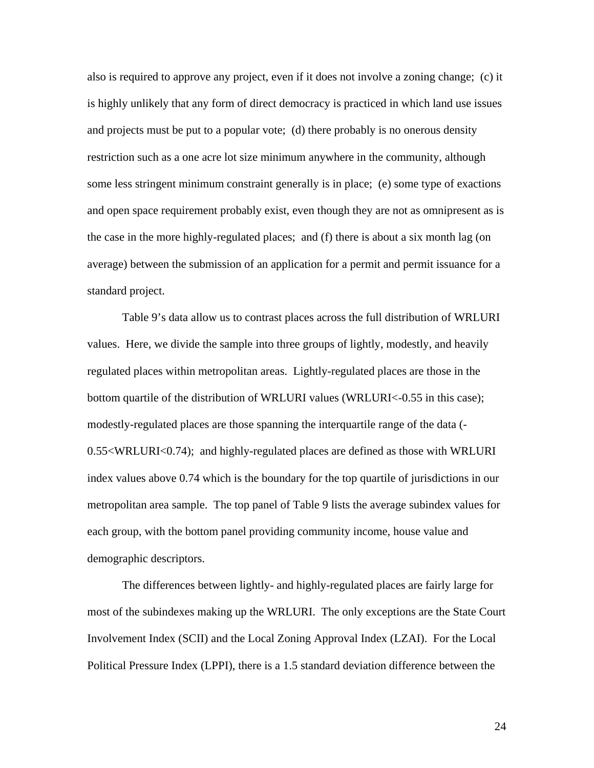also is required to approve any project, even if it does not involve a zoning change; (c) it is highly unlikely that any form of direct democracy is practiced in which land use issues and projects must be put to a popular vote; (d) there probably is no onerous density restriction such as a one acre lot size minimum anywhere in the community, although some less stringent minimum constraint generally is in place; (e) some type of exactions and open space requirement probably exist, even though they are not as omnipresent as is the case in the more highly-regulated places; and (f) there is about a six month lag (on average) between the submission of an application for a permit and permit issuance for a standard project.

Table 9's data allow us to contrast places across the full distribution of WRLURI values. Here, we divide the sample into three groups of lightly, modestly, and heavily regulated places within metropolitan areas. Lightly-regulated places are those in the bottom quartile of the distribution of WRLURI values (WRLURI<-0.55 in this case); modestly-regulated places are those spanning the interquartile range of the data (- 0.55<WRLURI<0.74); and highly-regulated places are defined as those with WRLURI index values above 0.74 which is the boundary for the top quartile of jurisdictions in our metropolitan area sample. The top panel of Table 9 lists the average subindex values for each group, with the bottom panel providing community income, house value and demographic descriptors.

The differences between lightly- and highly-regulated places are fairly large for most of the subindexes making up the WRLURI. The only exceptions are the State Court Involvement Index (SCII) and the Local Zoning Approval Index (LZAI). For the Local Political Pressure Index (LPPI), there is a 1.5 standard deviation difference between the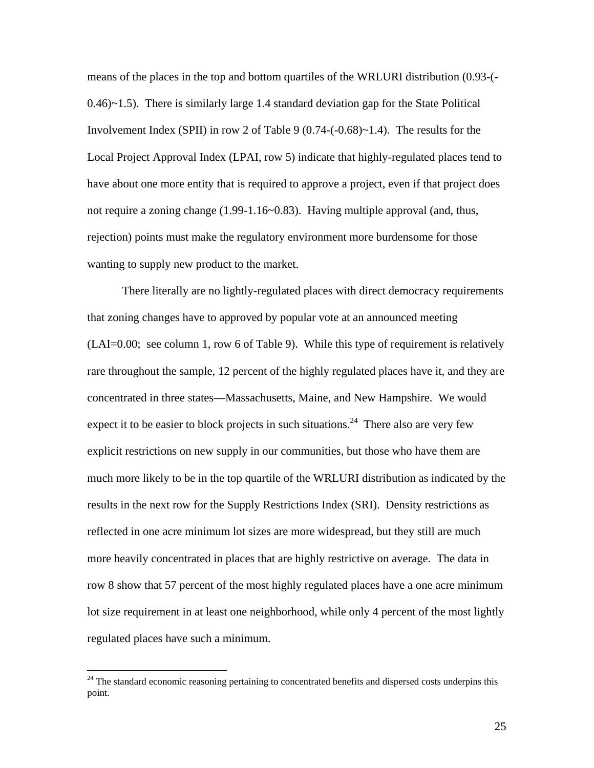means of the places in the top and bottom quartiles of the WRLURI distribution (0.93-(-  $0.46$   $\sim$  1.5). There is similarly large 1.4 standard deviation gap for the State Political Involvement Index (SPII) in row 2 of Table 9 (0.74-(-0.68)~1.4). The results for the Local Project Approval Index (LPAI, row 5) indicate that highly-regulated places tend to have about one more entity that is required to approve a project, even if that project does not require a zoning change (1.99-1.16~0.83). Having multiple approval (and, thus, rejection) points must make the regulatory environment more burdensome for those wanting to supply new product to the market.

There literally are no lightly-regulated places with direct democracy requirements that zoning changes have to approved by popular vote at an announced meeting (LAI=0.00; see column 1, row 6 of Table 9). While this type of requirement is relatively rare throughout the sample, 12 percent of the highly regulated places have it, and they are concentrated in three states—Massachusetts, Maine, and New Hampshire. We would expect it to be easier to block projects in such situations.<sup>24</sup> There also are very few explicit restrictions on new supply in our communities, but those who have them are much more likely to be in the top quartile of the WRLURI distribution as indicated by the results in the next row for the Supply Restrictions Index (SRI). Density restrictions as reflected in one acre minimum lot sizes are more widespread, but they still are much more heavily concentrated in places that are highly restrictive on average. The data in row 8 show that 57 percent of the most highly regulated places have a one acre minimum lot size requirement in at least one neighborhood, while only 4 percent of the most lightly regulated places have such a minimum.

 $\overline{a}$ 

 $24$  The standard economic reasoning pertaining to concentrated benefits and dispersed costs underpins this point.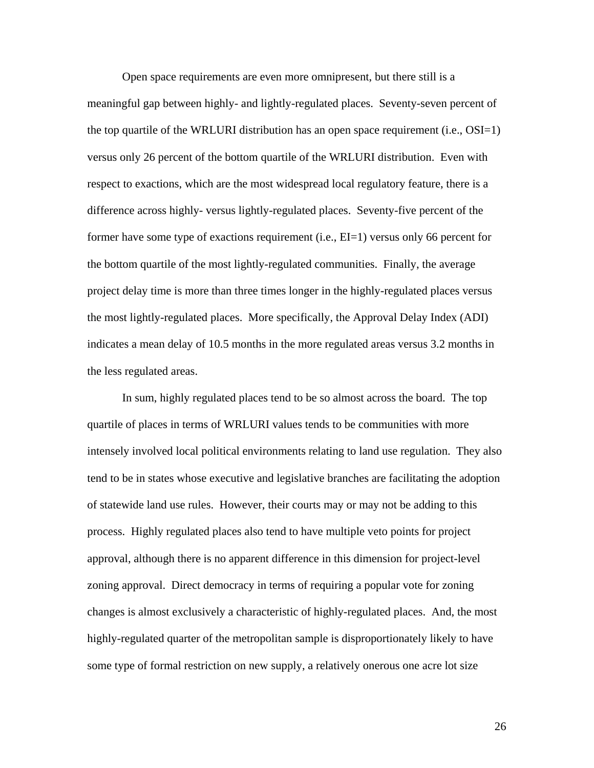Open space requirements are even more omnipresent, but there still is a meaningful gap between highly- and lightly-regulated places. Seventy-seven percent of the top quartile of the WRLURI distribution has an open space requirement (i.e.,  $OSI=1$ ) versus only 26 percent of the bottom quartile of the WRLURI distribution. Even with respect to exactions, which are the most widespread local regulatory feature, there is a difference across highly- versus lightly-regulated places. Seventy-five percent of the former have some type of exactions requirement (i.e., EI=1) versus only 66 percent for the bottom quartile of the most lightly-regulated communities. Finally, the average project delay time is more than three times longer in the highly-regulated places versus the most lightly-regulated places. More specifically, the Approval Delay Index (ADI) indicates a mean delay of 10.5 months in the more regulated areas versus 3.2 months in the less regulated areas.

In sum, highly regulated places tend to be so almost across the board. The top quartile of places in terms of WRLURI values tends to be communities with more intensely involved local political environments relating to land use regulation. They also tend to be in states whose executive and legislative branches are facilitating the adoption of statewide land use rules. However, their courts may or may not be adding to this process. Highly regulated places also tend to have multiple veto points for project approval, although there is no apparent difference in this dimension for project-level zoning approval. Direct democracy in terms of requiring a popular vote for zoning changes is almost exclusively a characteristic of highly-regulated places. And, the most highly-regulated quarter of the metropolitan sample is disproportionately likely to have some type of formal restriction on new supply, a relatively onerous one acre lot size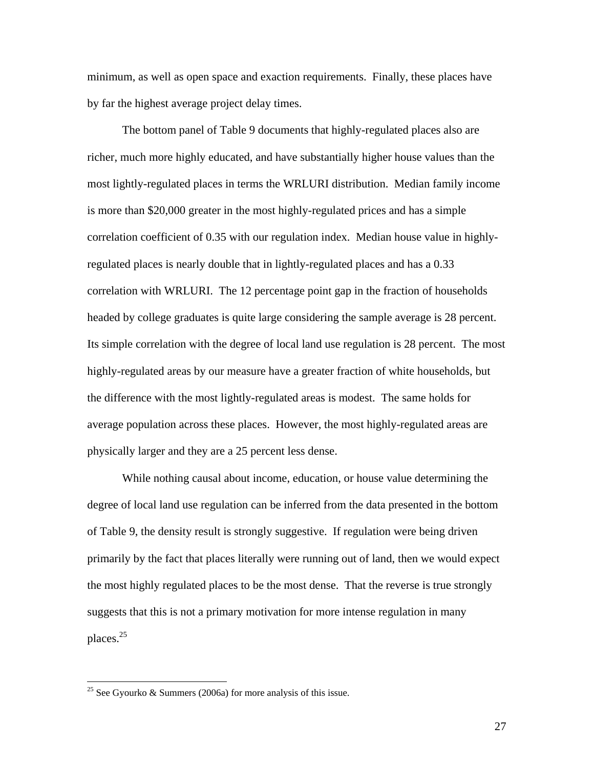minimum, as well as open space and exaction requirements. Finally, these places have by far the highest average project delay times.

 The bottom panel of Table 9 documents that highly-regulated places also are richer, much more highly educated, and have substantially higher house values than the most lightly-regulated places in terms the WRLURI distribution. Median family income is more than \$20,000 greater in the most highly-regulated prices and has a simple correlation coefficient of 0.35 with our regulation index. Median house value in highlyregulated places is nearly double that in lightly-regulated places and has a 0.33 correlation with WRLURI. The 12 percentage point gap in the fraction of households headed by college graduates is quite large considering the sample average is 28 percent. Its simple correlation with the degree of local land use regulation is 28 percent. The most highly-regulated areas by our measure have a greater fraction of white households, but the difference with the most lightly-regulated areas is modest. The same holds for average population across these places. However, the most highly-regulated areas are physically larger and they are a 25 percent less dense.

 While nothing causal about income, education, or house value determining the degree of local land use regulation can be inferred from the data presented in the bottom of Table 9, the density result is strongly suggestive. If regulation were being driven primarily by the fact that places literally were running out of land, then we would expect the most highly regulated places to be the most dense. That the reverse is true strongly suggests that this is not a primary motivation for more intense regulation in many places.<sup>25</sup>

<u>.</u>

<sup>&</sup>lt;sup>25</sup> See Gyourko & Summers (2006a) for more analysis of this issue.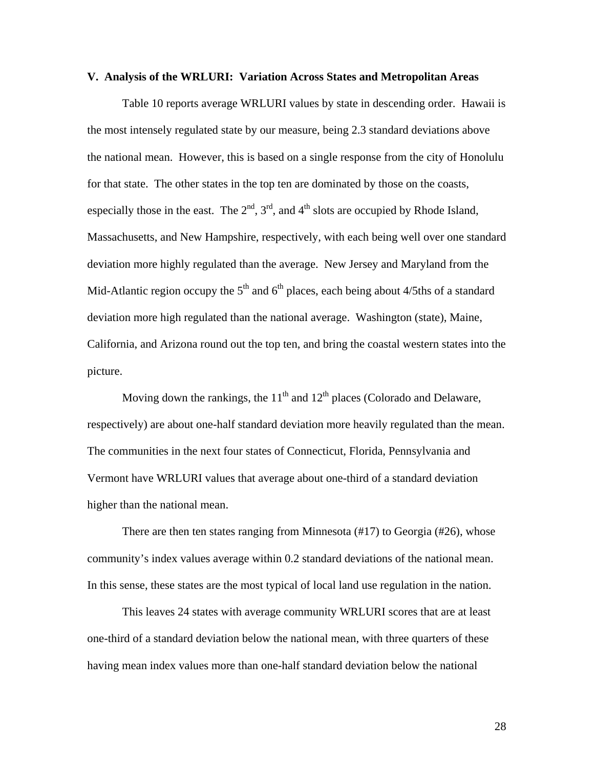#### **V. Analysis of the WRLURI: Variation Across States and Metropolitan Areas**

Table 10 reports average WRLURI values by state in descending order. Hawaii is the most intensely regulated state by our measure, being 2.3 standard deviations above the national mean. However, this is based on a single response from the city of Honolulu for that state. The other states in the top ten are dominated by those on the coasts, especially those in the east. The  $2<sup>nd</sup>$ ,  $3<sup>rd</sup>$ , and  $4<sup>th</sup>$  slots are occupied by Rhode Island, Massachusetts, and New Hampshire, respectively, with each being well over one standard deviation more highly regulated than the average. New Jersey and Maryland from the Mid-Atlantic region occupy the  $5<sup>th</sup>$  and  $6<sup>th</sup>$  places, each being about 4/5ths of a standard deviation more high regulated than the national average. Washington (state), Maine, California, and Arizona round out the top ten, and bring the coastal western states into the picture.

Moving down the rankings, the  $11<sup>th</sup>$  and  $12<sup>th</sup>$  places (Colorado and Delaware, respectively) are about one-half standard deviation more heavily regulated than the mean. The communities in the next four states of Connecticut, Florida, Pennsylvania and Vermont have WRLURI values that average about one-third of a standard deviation higher than the national mean.

There are then ten states ranging from Minnesota (#17) to Georgia (#26), whose community's index values average within 0.2 standard deviations of the national mean. In this sense, these states are the most typical of local land use regulation in the nation.

This leaves 24 states with average community WRLURI scores that are at least one-third of a standard deviation below the national mean, with three quarters of these having mean index values more than one-half standard deviation below the national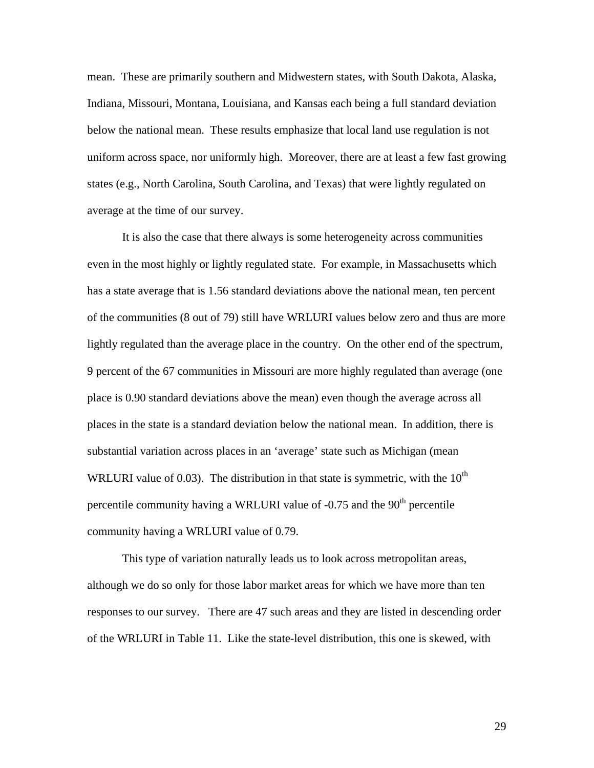mean. These are primarily southern and Midwestern states, with South Dakota, Alaska, Indiana, Missouri, Montana, Louisiana, and Kansas each being a full standard deviation below the national mean. These results emphasize that local land use regulation is not uniform across space, nor uniformly high. Moreover, there are at least a few fast growing states (e.g., North Carolina, South Carolina, and Texas) that were lightly regulated on average at the time of our survey.

 It is also the case that there always is some heterogeneity across communities even in the most highly or lightly regulated state. For example, in Massachusetts which has a state average that is 1.56 standard deviations above the national mean, ten percent of the communities (8 out of 79) still have WRLURI values below zero and thus are more lightly regulated than the average place in the country. On the other end of the spectrum, 9 percent of the 67 communities in Missouri are more highly regulated than average (one place is 0.90 standard deviations above the mean) even though the average across all places in the state is a standard deviation below the national mean. In addition, there is substantial variation across places in an 'average' state such as Michigan (mean WRLURI value of 0.03). The distribution in that state is symmetric, with the  $10<sup>th</sup>$ percentile community having a WRLURI value of  $-0.75$  and the  $90<sup>th</sup>$  percentile community having a WRLURI value of 0.79.

 This type of variation naturally leads us to look across metropolitan areas, although we do so only for those labor market areas for which we have more than ten responses to our survey. There are 47 such areas and they are listed in descending order of the WRLURI in Table 11. Like the state-level distribution, this one is skewed, with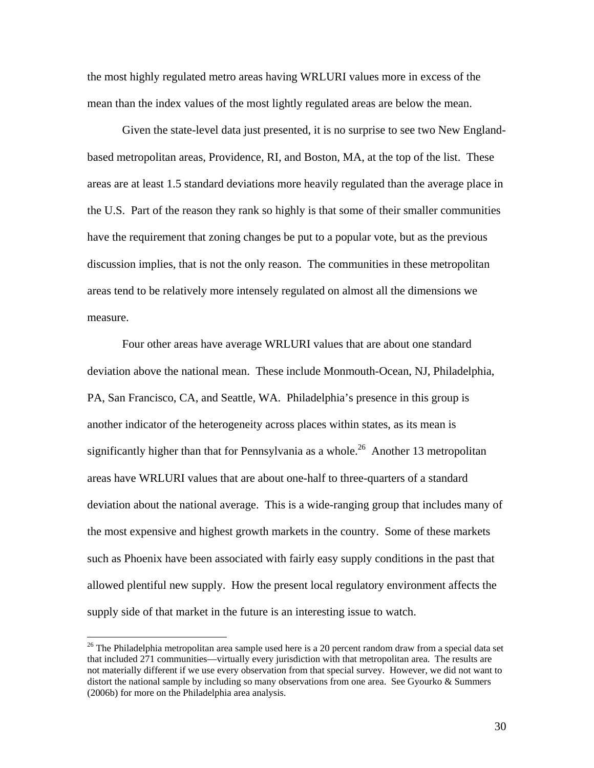the most highly regulated metro areas having WRLURI values more in excess of the mean than the index values of the most lightly regulated areas are below the mean.

 Given the state-level data just presented, it is no surprise to see two New Englandbased metropolitan areas, Providence, RI, and Boston, MA, at the top of the list. These areas are at least 1.5 standard deviations more heavily regulated than the average place in the U.S. Part of the reason they rank so highly is that some of their smaller communities have the requirement that zoning changes be put to a popular vote, but as the previous discussion implies, that is not the only reason. The communities in these metropolitan areas tend to be relatively more intensely regulated on almost all the dimensions we measure.

 Four other areas have average WRLURI values that are about one standard deviation above the national mean. These include Monmouth-Ocean, NJ, Philadelphia, PA, San Francisco, CA, and Seattle, WA. Philadelphia's presence in this group is another indicator of the heterogeneity across places within states, as its mean is significantly higher than that for Pennsylvania as a whole.<sup>26</sup> Another 13 metropolitan areas have WRLURI values that are about one-half to three-quarters of a standard deviation about the national average. This is a wide-ranging group that includes many of the most expensive and highest growth markets in the country. Some of these markets such as Phoenix have been associated with fairly easy supply conditions in the past that allowed plentiful new supply. How the present local regulatory environment affects the supply side of that market in the future is an interesting issue to watch.

 $\overline{a}$ 

 $26$  The Philadelphia metropolitan area sample used here is a 20 percent random draw from a special data set that included 271 communities—virtually every jurisdiction with that metropolitan area. The results are not materially different if we use every observation from that special survey. However, we did not want to distort the national sample by including so many observations from one area. See Gyourko & Summers (2006b) for more on the Philadelphia area analysis.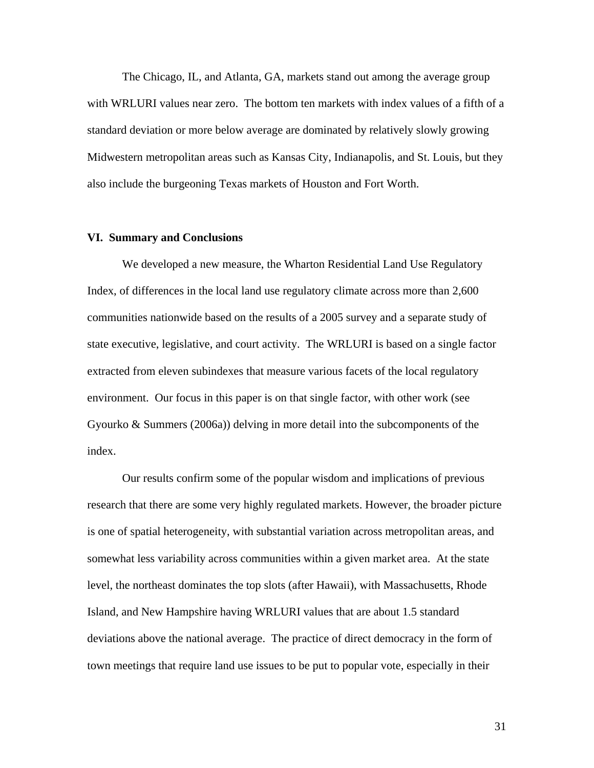The Chicago, IL, and Atlanta, GA, markets stand out among the average group with WRLURI values near zero. The bottom ten markets with index values of a fifth of a standard deviation or more below average are dominated by relatively slowly growing Midwestern metropolitan areas such as Kansas City, Indianapolis, and St. Louis, but they also include the burgeoning Texas markets of Houston and Fort Worth.

### **VI. Summary and Conclusions**

 We developed a new measure, the Wharton Residential Land Use Regulatory Index, of differences in the local land use regulatory climate across more than 2,600 communities nationwide based on the results of a 2005 survey and a separate study of state executive, legislative, and court activity. The WRLURI is based on a single factor extracted from eleven subindexes that measure various facets of the local regulatory environment. Our focus in this paper is on that single factor, with other work (see Gyourko & Summers (2006a)) delving in more detail into the subcomponents of the index.

 Our results confirm some of the popular wisdom and implications of previous research that there are some very highly regulated markets. However, the broader picture is one of spatial heterogeneity, with substantial variation across metropolitan areas, and somewhat less variability across communities within a given market area. At the state level, the northeast dominates the top slots (after Hawaii), with Massachusetts, Rhode Island, and New Hampshire having WRLURI values that are about 1.5 standard deviations above the national average. The practice of direct democracy in the form of town meetings that require land use issues to be put to popular vote, especially in their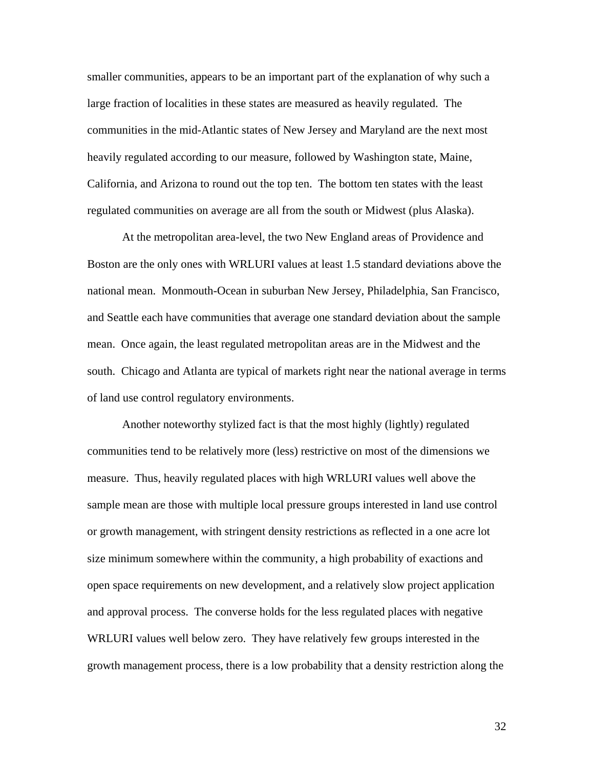smaller communities, appears to be an important part of the explanation of why such a large fraction of localities in these states are measured as heavily regulated. The communities in the mid-Atlantic states of New Jersey and Maryland are the next most heavily regulated according to our measure, followed by Washington state, Maine, California, and Arizona to round out the top ten. The bottom ten states with the least regulated communities on average are all from the south or Midwest (plus Alaska).

 At the metropolitan area-level, the two New England areas of Providence and Boston are the only ones with WRLURI values at least 1.5 standard deviations above the national mean. Monmouth-Ocean in suburban New Jersey, Philadelphia, San Francisco, and Seattle each have communities that average one standard deviation about the sample mean. Once again, the least regulated metropolitan areas are in the Midwest and the south. Chicago and Atlanta are typical of markets right near the national average in terms of land use control regulatory environments.

 Another noteworthy stylized fact is that the most highly (lightly) regulated communities tend to be relatively more (less) restrictive on most of the dimensions we measure. Thus, heavily regulated places with high WRLURI values well above the sample mean are those with multiple local pressure groups interested in land use control or growth management, with stringent density restrictions as reflected in a one acre lot size minimum somewhere within the community, a high probability of exactions and open space requirements on new development, and a relatively slow project application and approval process. The converse holds for the less regulated places with negative WRLURI values well below zero. They have relatively few groups interested in the growth management process, there is a low probability that a density restriction along the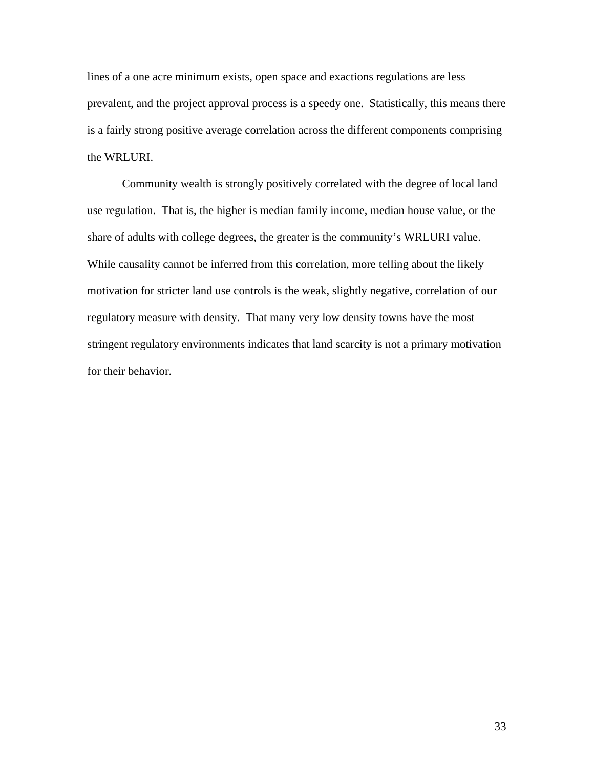lines of a one acre minimum exists, open space and exactions regulations are less prevalent, and the project approval process is a speedy one. Statistically, this means there is a fairly strong positive average correlation across the different components comprising the WRLURI.

 Community wealth is strongly positively correlated with the degree of local land use regulation. That is, the higher is median family income, median house value, or the share of adults with college degrees, the greater is the community's WRLURI value. While causality cannot be inferred from this correlation, more telling about the likely motivation for stricter land use controls is the weak, slightly negative, correlation of our regulatory measure with density. That many very low density towns have the most stringent regulatory environments indicates that land scarcity is not a primary motivation for their behavior.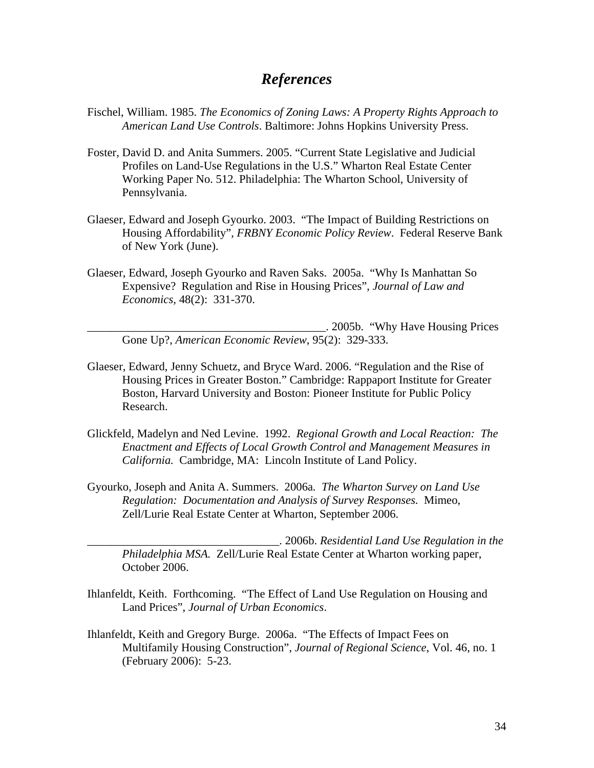### *References*

- Fischel, William. 1985. *The Economics of Zoning Laws: A Property Rights Approach to American Land Use Controls*. Baltimore: Johns Hopkins University Press.
- Foster, David D. and Anita Summers. 2005. "Current State Legislative and Judicial Profiles on Land-Use Regulations in the U.S." Wharton Real Estate Center Working Paper No. 512. Philadelphia: The Wharton School, University of Pennsylvania.
- Glaeser, Edward and Joseph Gyourko. 2003. "The Impact of Building Restrictions on Housing Affordability", *FRBNY Economic Policy Review*. Federal Reserve Bank of New York (June).
- Glaeser, Edward, Joseph Gyourko and Raven Saks. 2005a. "Why Is Manhattan So Expensive? Regulation and Rise in Housing Prices", *Journal of Law and Economics*, 48(2): 331-370.

\_\_\_\_\_\_\_\_\_\_\_\_\_\_\_\_\_\_\_\_\_\_\_\_\_\_\_\_\_\_\_\_\_\_\_\_\_\_\_\_\_. 2005b. "Why Have Housing Prices Gone Up?, *American Economic Review*, 95(2): 329-333.

- Glaeser, Edward, Jenny Schuetz, and Bryce Ward. 2006. "Regulation and the Rise of Housing Prices in Greater Boston." Cambridge: Rappaport Institute for Greater Boston, Harvard University and Boston: Pioneer Institute for Public Policy Research.
- Glickfeld, Madelyn and Ned Levine. 1992. *Regional Growth and Local Reaction: The Enactment and Effects of Local Growth Control and Management Measures in California.* Cambridge, MA: Lincoln Institute of Land Policy.
- Gyourko, Joseph and Anita A. Summers. 2006a*. The Wharton Survey on Land Use Regulation: Documentation and Analysis of Survey Responses.* Mimeo, Zell/Lurie Real Estate Center at Wharton, September 2006.

\_\_\_\_\_\_\_\_\_\_\_\_\_\_\_\_\_\_\_\_\_\_\_\_\_\_\_\_\_\_\_\_\_. 2006b. *Residential Land Use Regulation in the Philadelphia MSA.* Zell/Lurie Real Estate Center at Wharton working paper, October 2006.

- Ihlanfeldt, Keith. Forthcoming. "The Effect of Land Use Regulation on Housing and Land Prices", *Journal of Urban Economics*.
- Ihlanfeldt, Keith and Gregory Burge. 2006a. "The Effects of Impact Fees on Multifamily Housing Construction", *Journal of Regional Science*, Vol. 46, no. 1 (February 2006): 5-23.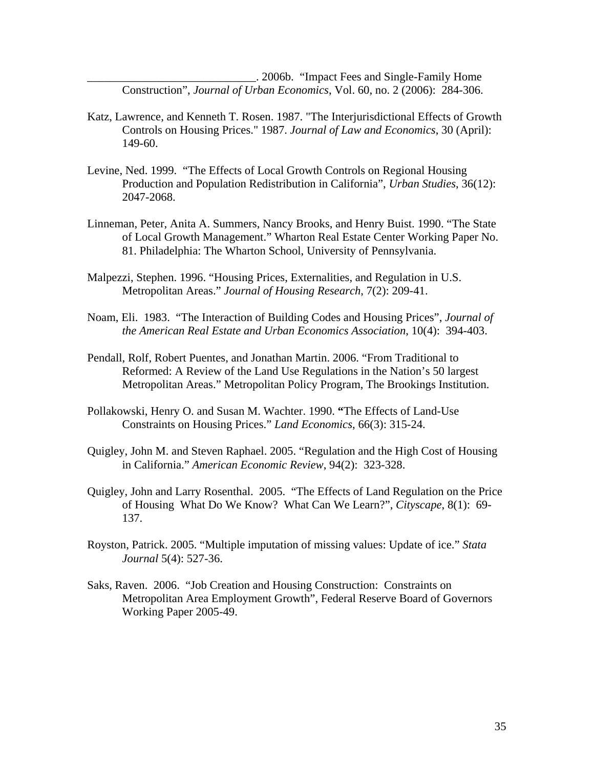\_\_\_\_\_\_\_\_\_\_\_\_\_\_\_\_\_\_\_\_\_\_\_\_\_\_\_\_\_. 2006b. "Impact Fees and Single-Family Home Construction", *Journal of Urban Economics*, Vol. 60, no. 2 (2006): 284-306.

- Katz, Lawrence, and Kenneth T. Rosen. 1987. "The Interjurisdictional Effects of Growth Controls on Housing Prices." 1987. *Journal of Law and Economics*, 30 (April): 149-60.
- Levine, Ned. 1999. "The Effects of Local Growth Controls on Regional Housing Production and Population Redistribution in California", *Urban Studies*, 36(12): 2047-2068.
- Linneman, Peter, Anita A. Summers, Nancy Brooks, and Henry Buist. 1990. "The State of Local Growth Management." Wharton Real Estate Center Working Paper No. 81. Philadelphia: The Wharton School, University of Pennsylvania.
- Malpezzi, Stephen. 1996. "Housing Prices, Externalities, and Regulation in U.S. Metropolitan Areas." *Journal of Housing Research*, 7(2): 209-41.
- Noam, Eli. 1983. "The Interaction of Building Codes and Housing Prices", *Journal of the American Real Estate and Urban Economics Association*, 10(4): 394-403.
- Pendall, Rolf, Robert Puentes, and Jonathan Martin. 2006. "From Traditional to Reformed: A Review of the Land Use Regulations in the Nation's 50 largest Metropolitan Areas." Metropolitan Policy Program, The Brookings Institution.
- Pollakowski, Henry O. and Susan M. Wachter. 1990. **"**The Effects of Land-Use Constraints on Housing Prices." *Land Economics*, 66(3): 315-24.
- Quigley, John M. and Steven Raphael. 2005. "Regulation and the High Cost of Housing in California." *American Economic Review*, 94(2): 323-328.
- Quigley, John and Larry Rosenthal. 2005. "The Effects of Land Regulation on the Price of Housing What Do We Know? What Can We Learn?", *Cityscape*, 8(1): 69- 137.
- Royston, Patrick. 2005. "Multiple imputation of missing values: Update of ice." *Stata Journal* 5(4): 527-36.
- Saks, Raven. 2006. "Job Creation and Housing Construction: Constraints on Metropolitan Area Employment Growth", Federal Reserve Board of Governors Working Paper 2005-49.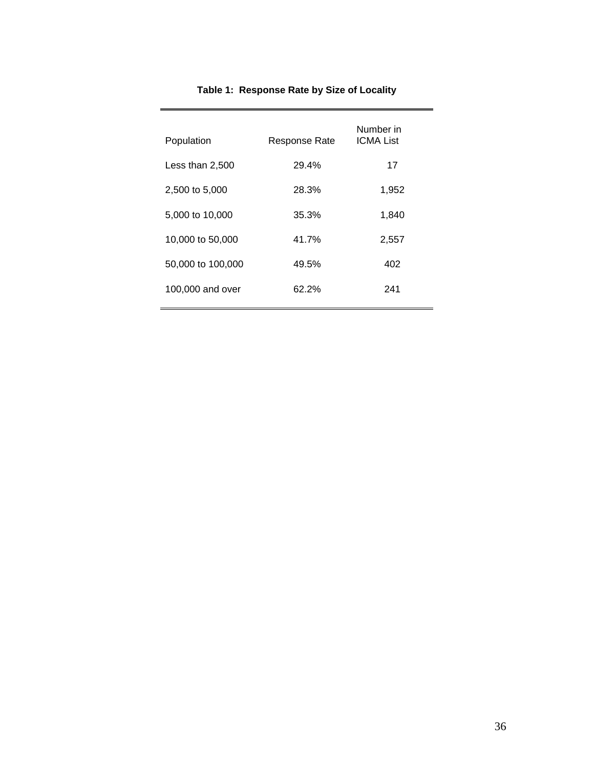### **Table 1: Response Rate by Size of Locality**

| Population        | Response Rate | Number in<br><b>ICMA List</b> |
|-------------------|---------------|-------------------------------|
| Less than 2,500   | 29.4%         | 17                            |
| 2,500 to 5,000    | 28.3%         | 1,952                         |
| 5,000 to 10,000   | 35.3%         | 1,840                         |
| 10,000 to 50,000  | 41.7%         | 2,557                         |
| 50,000 to 100,000 | 49.5%         | 402                           |
| 100,000 and over  | 62.2%         | 241                           |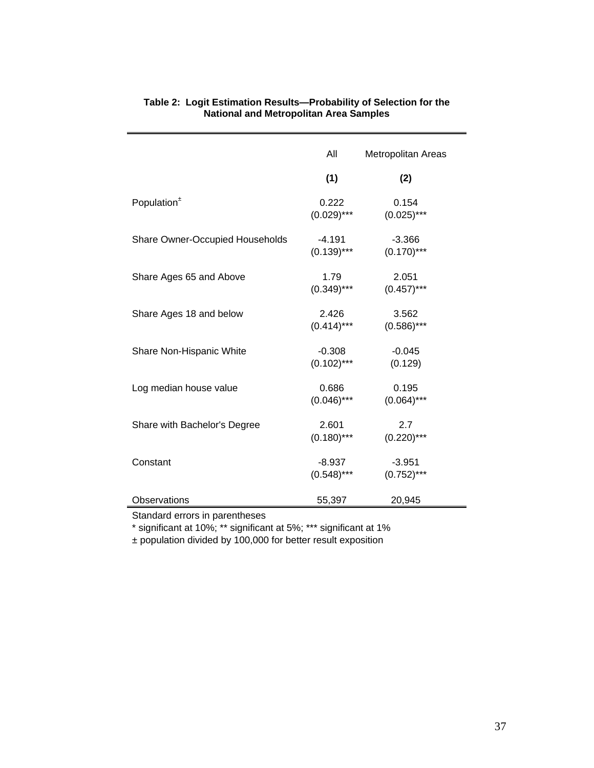|                                 | All                       | Metropolitan Areas        |
|---------------------------------|---------------------------|---------------------------|
|                                 | (1)                       | (2)                       |
| Population <sup>+</sup>         | 0.222<br>$(0.029)$ ***    | 0.154<br>$(0.025)$ ***    |
| Share Owner-Occupied Households | $-4.191$<br>$(0.139)$ *** | $-3.366$<br>$(0.170)$ *** |
| Share Ages 65 and Above         | 1.79<br>$(0.349)$ ***     | 2.051<br>$(0.457)$ ***    |
| Share Ages 18 and below         | 2.426<br>$(0.414)$ ***    | 3.562<br>$(0.586)$ ***    |
| Share Non-Hispanic White        | $-0.308$<br>$(0.102)$ *** | $-0.045$<br>(0.129)       |
| Log median house value          | 0.686<br>$(0.046)$ ***    | 0.195<br>$(0.064)$ ***    |
| Share with Bachelor's Degree    | 2.601<br>$(0.180)$ ***    | 2.7<br>$(0.220)$ ***      |
| Constant                        | $-8.937$<br>$(0.548)$ *** | $-3.951$<br>$(0.752)$ *** |
| Observations                    | 55,397                    | 20,945                    |

### **Table 2: Logit Estimation Results—Probability of Selection for the National and Metropolitan Area Samples**

Standard errors in parentheses

\* significant at 10%; \*\* significant at 5%; \*\*\* significant at 1%

± population divided by 100,000 for better result exposition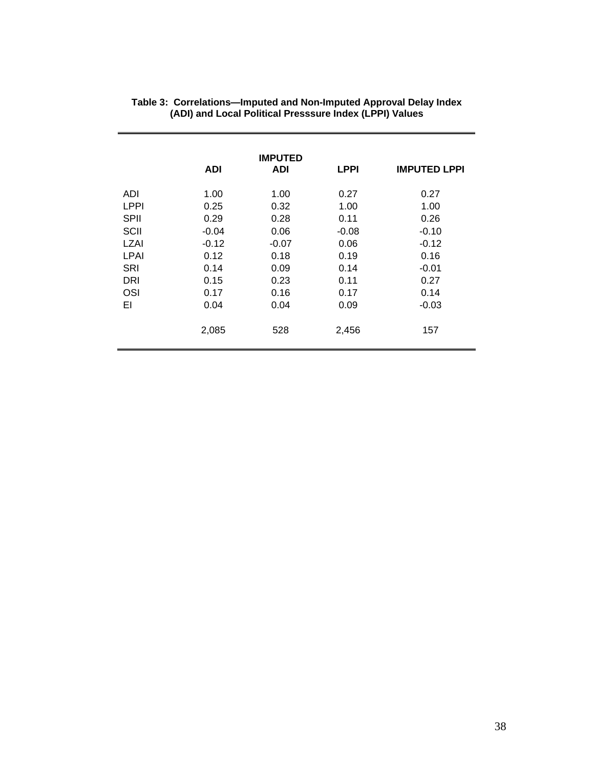|             | <b>ADI</b> | <b>IMPUTED</b><br><b>ADI</b> | <b>LPPI</b> | <b>IMPUTED LPPI</b> |
|-------------|------------|------------------------------|-------------|---------------------|
| ADI         | 1.00       | 1.00                         | 0.27        | 0.27                |
| <b>LPPI</b> | 0.25       | 0.32                         | 1.00        | 1.00                |
| <b>SPII</b> | 0.29       | 0.28                         | 0.11        | 0.26                |
| SCII        | $-0.04$    | 0.06                         | $-0.08$     | $-0.10$             |
| LZAI        | $-0.12$    | $-0.07$                      | 0.06        | $-0.12$             |
| LPAI        | 0.12       | 0.18                         | 0.19        | 0.16                |
| SRI         | 0.14       | 0.09                         | 0.14        | $-0.01$             |
| DRI         | 0.15       | 0.23                         | 0.11        | 0.27                |
| OSI         | 0.17       | 0.16                         | 0.17        | 0.14                |
| EI          | 0.04       | 0.04                         | 0.09        | $-0.03$             |
|             | 2,085      | 528                          | 2,456       | 157                 |

#### **Table 3: Correlations—Imputed and Non-Imputed Approval Delay Index (ADI) and Local Political Presssure Index (LPPI) Values**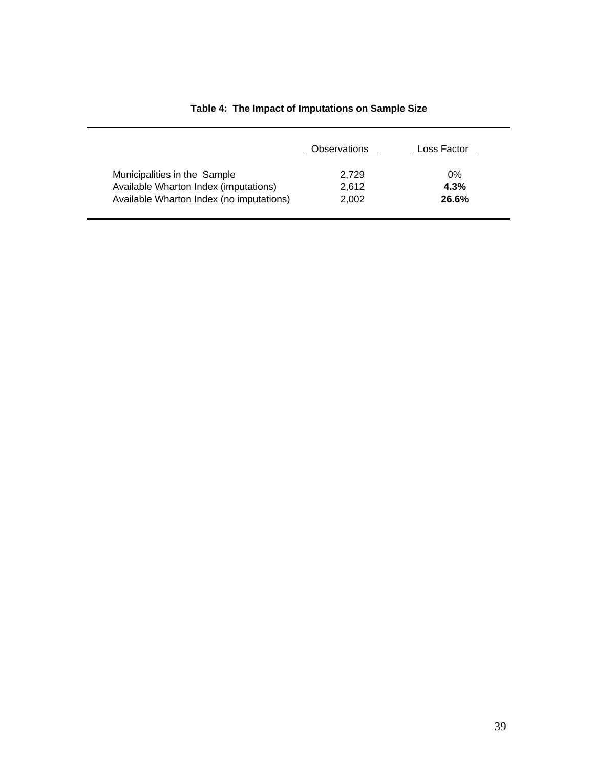|                                          | Observations | Loss Factor |
|------------------------------------------|--------------|-------------|
| Municipalities in the Sample             | 2.729        | $0\%$       |
| Available Wharton Index (imputations)    | 2.612        | 4.3%        |
| Available Wharton Index (no imputations) | 2.002        | 26.6%       |

### **Table 4: The Impact of Imputations on Sample Size**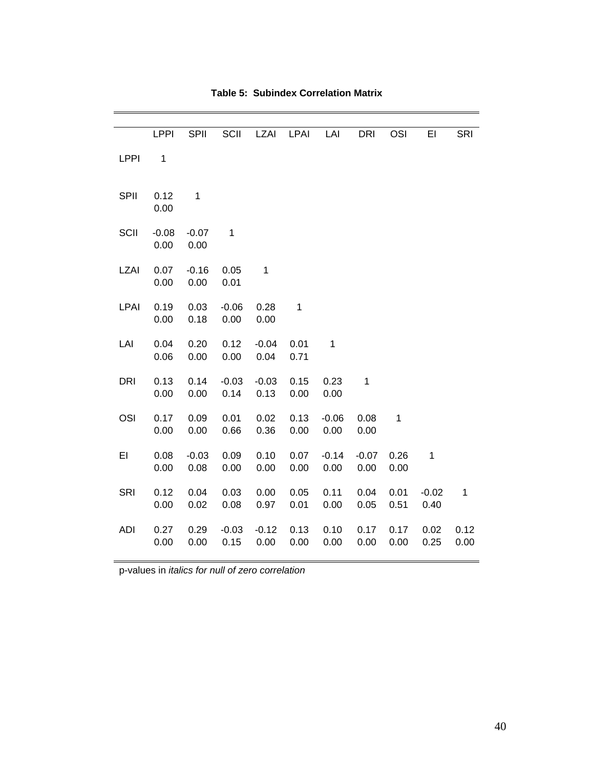|             | <b>LPPI</b>     | <b>SPII</b>     | SCII            | LZAI            | <b>LPAI</b>  | LAI             | <b>DRI</b>      | OSI          | EI              | <b>SRI</b>   |
|-------------|-----------------|-----------------|-----------------|-----------------|--------------|-----------------|-----------------|--------------|-----------------|--------------|
| <b>LPPI</b> | 1               |                 |                 |                 |              |                 |                 |              |                 |              |
| <b>SPII</b> | 0.12<br>0.00    | 1               |                 |                 |              |                 |                 |              |                 |              |
| SCII        | $-0.08$<br>0.00 | $-0.07$<br>0.00 | 1               |                 |              |                 |                 |              |                 |              |
| <b>LZAI</b> | 0.07<br>0.00    | $-0.16$<br>0.00 | 0.05<br>0.01    | 1               |              |                 |                 |              |                 |              |
| <b>LPAI</b> | 0.19<br>0.00    | 0.03<br>0.18    | $-0.06$<br>0.00 | 0.28<br>0.00    | 1            |                 |                 |              |                 |              |
| LAI         | 0.04<br>0.06    | 0.20<br>0.00    | 0.12<br>0.00    | $-0.04$<br>0.04 | 0.01<br>0.71 | 1               |                 |              |                 |              |
| <b>DRI</b>  | 0.13<br>0.00    | 0.14<br>0.00    | $-0.03$<br>0.14 | $-0.03$<br>0.13 | 0.15<br>0.00 | 0.23<br>0.00    | 1               |              |                 |              |
| OSI         | 0.17<br>0.00    | 0.09<br>0.00    | 0.01<br>0.66    | 0.02<br>0.36    | 0.13<br>0.00 | $-0.06$<br>0.00 | 0.08<br>0.00    | 1            |                 |              |
| EI          | 0.08<br>0.00    | $-0.03$<br>0.08 | 0.09<br>0.00    | 0.10<br>0.00    | 0.07<br>0.00 | $-0.14$<br>0.00 | $-0.07$<br>0.00 | 0.26<br>0.00 | 1               |              |
| SRI         | 0.12<br>0.00    | 0.04<br>0.02    | 0.03<br>0.08    | 0.00<br>0.97    | 0.05<br>0.01 | 0.11<br>0.00    | 0.04<br>0.05    | 0.01<br>0.51 | $-0.02$<br>0.40 | $\mathbf{1}$ |
| <b>ADI</b>  | 0.27<br>0.00    | 0.29<br>0.00    | $-0.03$<br>0.15 | $-0.12$<br>0.00 | 0.13<br>0.00 | 0.10<br>0.00    | 0.17<br>0.00    | 0.17<br>0.00 | 0.02<br>0.25    | 0.12<br>0.00 |

### **Table 5: Subindex Correlation Matrix**

p-values in *italics for null of zero correlation*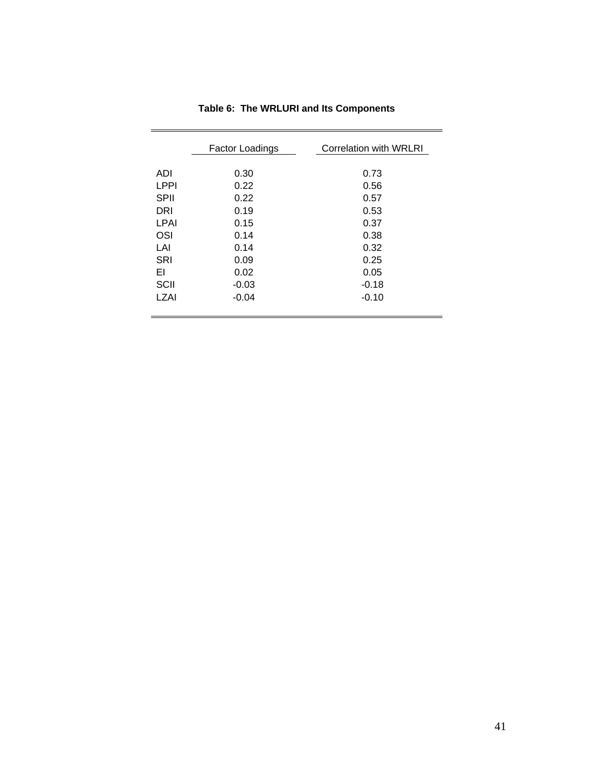|             | Factor Loadings | <b>Correlation with WRLRI</b> |
|-------------|-----------------|-------------------------------|
| ADI         | 0.30            | 0.73                          |
| <b>LPPI</b> | 0.22            | 0.56                          |
| <b>SPII</b> | 0.22            | 0.57                          |
| DRI         | 0.19            | 0.53                          |
| LPAI        | 0.15            | 0.37                          |
| OSI         | 0.14            | 0.38                          |
| LAI         | 0.14            | 0.32                          |
| SRI         | 0.09            | 0.25                          |
| EI          | 0.02            | 0.05                          |
| SCII        | $-0.03$         | $-0.18$                       |
| LZAI        | $-0.04$         | $-0.10$                       |
|             |                 |                               |

**Table 6: The WRLURI and Its Components** 

 $\overline{\phantom{a}}$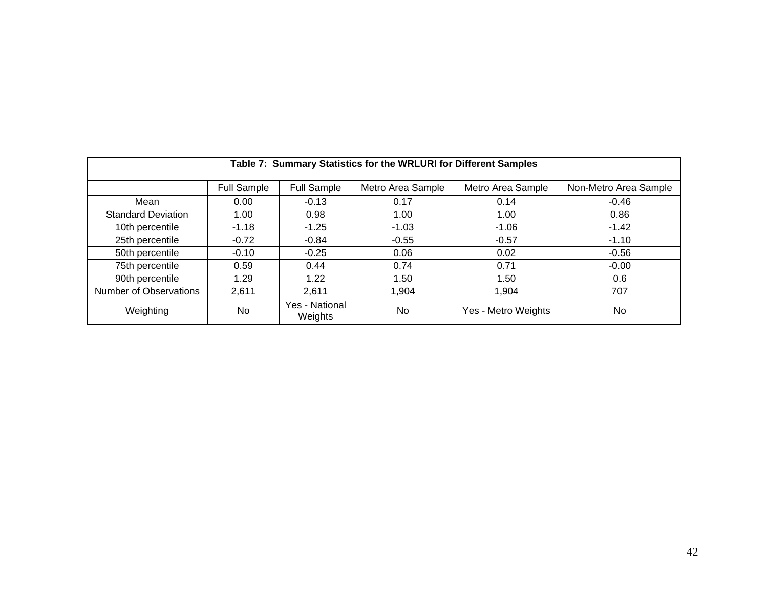| Table 7: Summary Statistics for the WRLURI for Different Samples |                    |                           |                   |                     |                       |  |
|------------------------------------------------------------------|--------------------|---------------------------|-------------------|---------------------|-----------------------|--|
|                                                                  | <b>Full Sample</b> | <b>Full Sample</b>        | Metro Area Sample | Metro Area Sample   | Non-Metro Area Sample |  |
| Mean                                                             | 0.00               | $-0.13$                   | 0.17              | 0.14                | $-0.46$               |  |
| <b>Standard Deviation</b>                                        | 1.00               | 0.98                      | 1.00              | 1.00                | 0.86                  |  |
| 10th percentile                                                  | $-1.18$            | $-1.25$                   | $-1.03$           | $-1.06$             | $-1.42$               |  |
| 25th percentile                                                  | $-0.72$            | $-0.84$                   | $-0.55$           | $-0.57$             | $-1.10$               |  |
| 50th percentile                                                  | $-0.10$            | $-0.25$                   | 0.06              | 0.02                | $-0.56$               |  |
| 75th percentile                                                  | 0.59               | 0.44                      | 0.74              | 0.71                | $-0.00$               |  |
| 90th percentile                                                  | 1.29               | 1.22                      | 1.50              | 1.50                | 0.6                   |  |
| Number of Observations                                           | 2,611              | 2,611                     | 1,904             | 1,904               | 707                   |  |
| Weighting                                                        | No                 | Yes - National<br>Weights | No                | Yes - Metro Weights | No                    |  |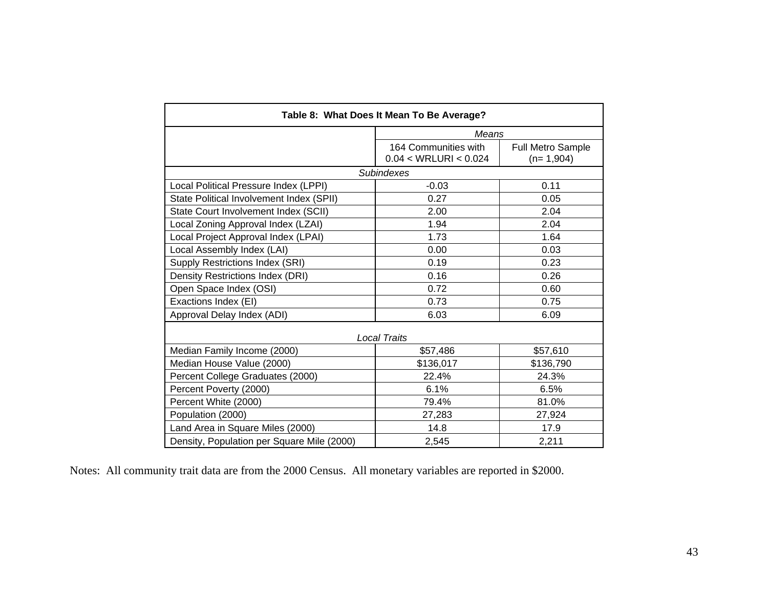| Table 8: What Does It Mean To Be Average?  |                                               |                                         |  |  |
|--------------------------------------------|-----------------------------------------------|-----------------------------------------|--|--|
|                                            | Means                                         |                                         |  |  |
|                                            | 164 Communities with<br>0.04 < WRLURI < 0.024 | <b>Full Metro Sample</b><br>$(n=1,904)$ |  |  |
|                                            | <b>Subindexes</b>                             |                                         |  |  |
| Local Political Pressure Index (LPPI)      | $-0.03$                                       | 0.11                                    |  |  |
| State Political Involvement Index (SPII)   | 0.27                                          | 0.05                                    |  |  |
| State Court Involvement Index (SCII)       | 2.00                                          | 2.04                                    |  |  |
| Local Zoning Approval Index (LZAI)         | 1.94                                          | 2.04                                    |  |  |
| Local Project Approval Index (LPAI)        | 1.73                                          | 1.64                                    |  |  |
| Local Assembly Index (LAI)                 | 0.00                                          | 0.03                                    |  |  |
| Supply Restrictions Index (SRI)            | 0.19                                          | 0.23                                    |  |  |
| Density Restrictions Index (DRI)           | 0.16                                          | 0.26                                    |  |  |
| Open Space Index (OSI)                     | 0.72                                          | 0.60                                    |  |  |
| Exactions Index (EI)                       | 0.73                                          | 0.75                                    |  |  |
| Approval Delay Index (ADI)                 | 6.03                                          | 6.09                                    |  |  |
|                                            | <b>Local Traits</b>                           |                                         |  |  |
| Median Family Income (2000)                | \$57,486                                      | \$57,610                                |  |  |
| Median House Value (2000)                  | \$136,017                                     | \$136,790                               |  |  |
| Percent College Graduates (2000)           | 22.4%                                         | 24.3%                                   |  |  |
| Percent Poverty (2000)                     | 6.1%                                          | 6.5%                                    |  |  |
| Percent White (2000)                       | 79.4%                                         | 81.0%                                   |  |  |
| Population (2000)                          | 27,283                                        | 27,924                                  |  |  |
| Land Area in Square Miles (2000)           | 14.8                                          | 17.9                                    |  |  |
| Density, Population per Square Mile (2000) | 2,545                                         | 2,211                                   |  |  |

Notes: All community trait data are from the 2000 Census. All monetary variables are reported in \$2000.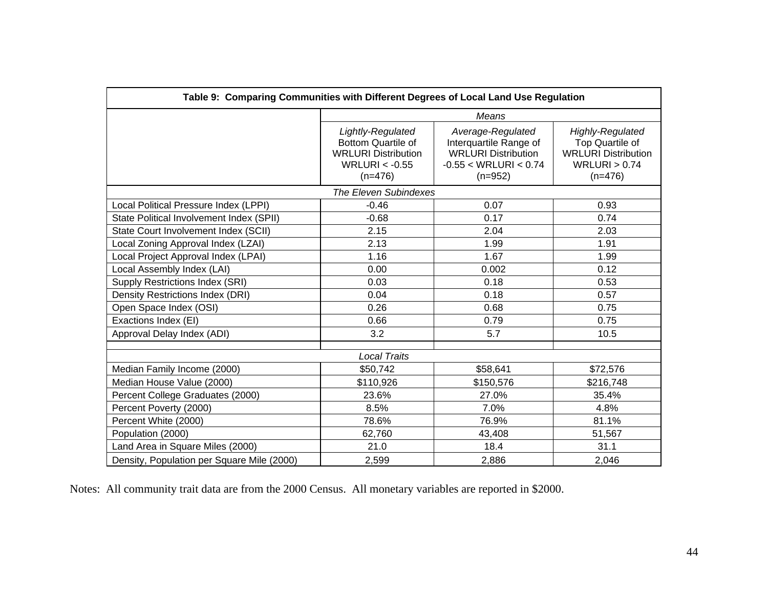| Table 9: Comparing Communities with Different Degrees of Local Land Use Regulation |                                                                                                               |                                                                                                                   |                                                                                                        |  |  |
|------------------------------------------------------------------------------------|---------------------------------------------------------------------------------------------------------------|-------------------------------------------------------------------------------------------------------------------|--------------------------------------------------------------------------------------------------------|--|--|
|                                                                                    |                                                                                                               | Means                                                                                                             |                                                                                                        |  |  |
|                                                                                    | Lightly-Regulated<br><b>Bottom Quartile of</b><br><b>WRLURI Distribution</b><br>WRLURI $<$ -0.55<br>$(n=476)$ | Average-Regulated<br>Interquartile Range of<br><b>WRLURI Distribution</b><br>$-0.55 < WRLURI < 0.74$<br>$(n=952)$ | <b>Highly-Regulated</b><br>Top Quartile of<br><b>WRLURI Distribution</b><br>WRLURI > 0.74<br>$(n=476)$ |  |  |
|                                                                                    | <b>The Eleven Subindexes</b>                                                                                  |                                                                                                                   |                                                                                                        |  |  |
| Local Political Pressure Index (LPPI)                                              | $-0.46$                                                                                                       | 0.07                                                                                                              | 0.93                                                                                                   |  |  |
| State Political Involvement Index (SPII)                                           | $-0.68$                                                                                                       | 0.17                                                                                                              | 0.74                                                                                                   |  |  |
| State Court Involvement Index (SCII)                                               | 2.15                                                                                                          | 2.04                                                                                                              | 2.03                                                                                                   |  |  |
| Local Zoning Approval Index (LZAI)                                                 | 2.13                                                                                                          | 1.99                                                                                                              | 1.91                                                                                                   |  |  |
| Local Project Approval Index (LPAI)                                                | 1.16                                                                                                          | 1.67                                                                                                              | 1.99                                                                                                   |  |  |
| Local Assembly Index (LAI)                                                         | 0.00                                                                                                          | 0.002                                                                                                             | 0.12                                                                                                   |  |  |
| Supply Restrictions Index (SRI)                                                    | 0.03                                                                                                          | 0.18                                                                                                              | 0.53                                                                                                   |  |  |
| Density Restrictions Index (DRI)                                                   | 0.04                                                                                                          | 0.18                                                                                                              | 0.57                                                                                                   |  |  |
| Open Space Index (OSI)                                                             | 0.26                                                                                                          | 0.68                                                                                                              | 0.75                                                                                                   |  |  |
| Exactions Index (EI)                                                               | 0.66                                                                                                          | 0.79                                                                                                              | 0.75                                                                                                   |  |  |
| Approval Delay Index (ADI)                                                         | 3.2                                                                                                           | 5.7                                                                                                               | 10.5                                                                                                   |  |  |
|                                                                                    |                                                                                                               |                                                                                                                   |                                                                                                        |  |  |
|                                                                                    | <b>Local Traits</b>                                                                                           |                                                                                                                   |                                                                                                        |  |  |
| Median Family Income (2000)                                                        | \$50,742                                                                                                      | \$58,641                                                                                                          | \$72,576                                                                                               |  |  |
| Median House Value (2000)                                                          | \$110,926                                                                                                     | \$150,576                                                                                                         | \$216,748                                                                                              |  |  |
| Percent College Graduates (2000)                                                   | 23.6%                                                                                                         | 27.0%                                                                                                             | 35.4%                                                                                                  |  |  |
| Percent Poverty (2000)                                                             | 8.5%                                                                                                          | 7.0%                                                                                                              | 4.8%                                                                                                   |  |  |
| Percent White (2000)                                                               | 78.6%                                                                                                         | 76.9%                                                                                                             | 81.1%                                                                                                  |  |  |
| Population (2000)                                                                  | 62,760                                                                                                        | 43,408                                                                                                            | 51,567                                                                                                 |  |  |
| Land Area in Square Miles (2000)                                                   | 21.0                                                                                                          | 18.4                                                                                                              | 31.1                                                                                                   |  |  |
| Density, Population per Square Mile (2000)                                         | 2,599                                                                                                         | 2,886                                                                                                             | 2,046                                                                                                  |  |  |

Notes: All community trait data are from the 2000 Census. All monetary variables are reported in \$2000.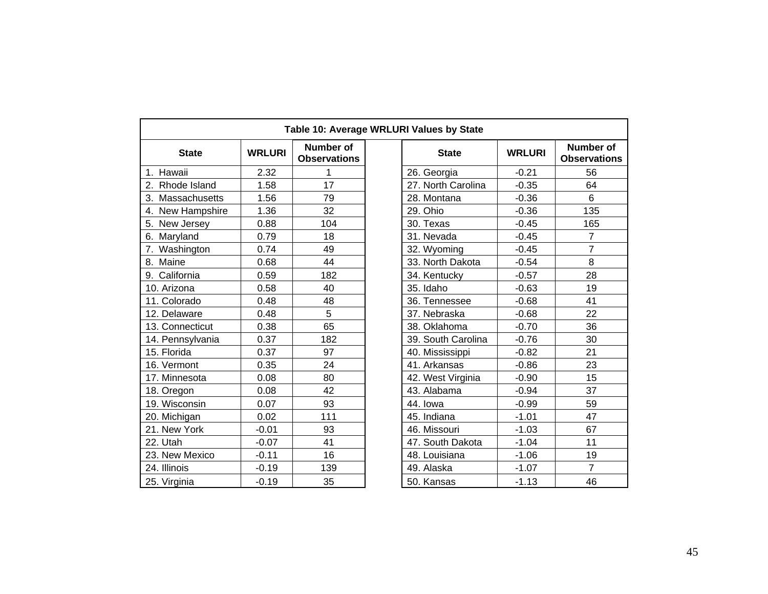| Table 10: Average WRLURI Values by State |               |                                         |  |                    |               |                                         |  |
|------------------------------------------|---------------|-----------------------------------------|--|--------------------|---------------|-----------------------------------------|--|
| <b>State</b>                             | <b>WRLURI</b> | <b>Number of</b><br><b>Observations</b> |  | <b>State</b>       | <b>WRLURI</b> | <b>Number of</b><br><b>Observations</b> |  |
| 1. Hawaii                                | 2.32          | 1                                       |  | 26. Georgia        | $-0.21$       | 56                                      |  |
| 2. Rhode Island                          | 1.58          | 17                                      |  | 27. North Carolina | $-0.35$       | 64                                      |  |
| 3. Massachusetts                         | 1.56          | 79                                      |  | 28. Montana        | $-0.36$       | 6                                       |  |
| 4. New Hampshire                         | 1.36          | 32                                      |  | 29. Ohio           | $-0.36$       | 135                                     |  |
| 5. New Jersey                            | 0.88          | 104                                     |  | 30. Texas          | $-0.45$       | 165                                     |  |
| Maryland<br>6.                           | 0.79          | 18                                      |  | 31. Nevada         | $-0.45$       | $\overline{7}$                          |  |
| 7. Washington                            | 0.74          | 49                                      |  | 32. Wyoming        | $-0.45$       | $\overline{7}$                          |  |
| 8. Maine                                 | 0.68          | 44                                      |  | 33. North Dakota   | $-0.54$       | 8                                       |  |
| 9. California                            | 0.59          | 182                                     |  | 34. Kentucky       | $-0.57$       | 28                                      |  |
| 10. Arizona                              | 0.58          | 40                                      |  | 35. Idaho          | $-0.63$       | 19                                      |  |
| 11. Colorado                             | 0.48          | 48                                      |  | 36. Tennessee      | $-0.68$       | 41                                      |  |
| 12. Delaware                             | 0.48          | 5                                       |  | 37. Nebraska       | $-0.68$       | 22                                      |  |
| 13. Connecticut                          | 0.38          | 65                                      |  | 38. Oklahoma       | $-0.70$       | 36                                      |  |
| 14. Pennsylvania                         | 0.37          | 182                                     |  | 39. South Carolina | $-0.76$       | 30                                      |  |
| 15. Florida                              | 0.37          | 97                                      |  | 40. Mississippi    | $-0.82$       | 21                                      |  |
| 16. Vermont                              | 0.35          | 24                                      |  | 41. Arkansas       | $-0.86$       | 23                                      |  |
| 17. Minnesota                            | 0.08          | 80                                      |  | 42. West Virginia  | $-0.90$       | 15                                      |  |
| 18. Oregon                               | 0.08          | 42                                      |  | 43. Alabama        | $-0.94$       | 37                                      |  |
| 19. Wisconsin                            | 0.07          | 93                                      |  | 44. Iowa           | $-0.99$       | 59                                      |  |
| 20. Michigan                             | 0.02          | 111                                     |  | 45. Indiana        | $-1.01$       | 47                                      |  |
| 21. New York                             | $-0.01$       | 93                                      |  | 46. Missouri       | $-1.03$       | 67                                      |  |
| 22. Utah                                 | $-0.07$       | 41                                      |  | 47. South Dakota   | $-1.04$       | 11                                      |  |
| 23. New Mexico                           | $-0.11$       | 16                                      |  | 48. Louisiana      | $-1.06$       | 19                                      |  |
| 24. Illinois                             | $-0.19$       | 139                                     |  | 49. Alaska         | $-1.07$       | $\overline{7}$                          |  |
| 25. Virginia                             | $-0.19$       | 35                                      |  | 50. Kansas         | $-1.13$       | 46                                      |  |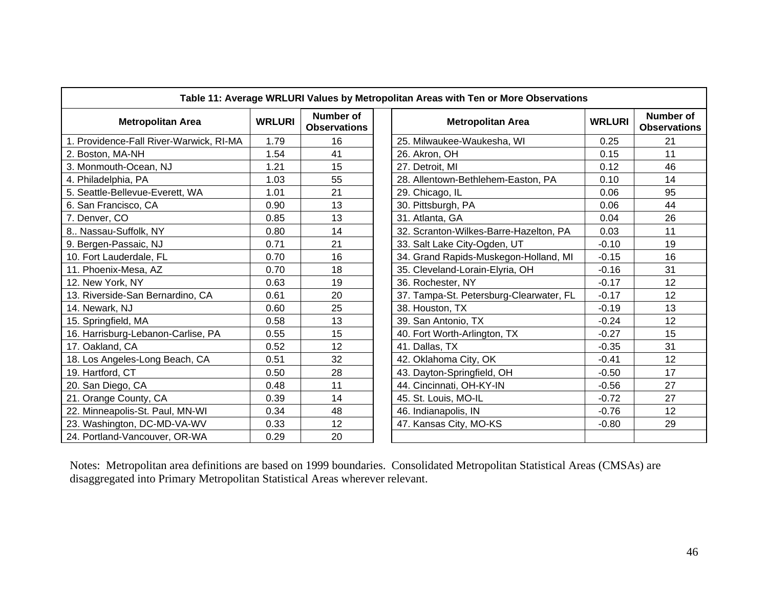| Table 11: Average WRLURI Values by Metropolitan Areas with Ten or More Observations |               |                                         |  |                                         |               |                                         |  |
|-------------------------------------------------------------------------------------|---------------|-----------------------------------------|--|-----------------------------------------|---------------|-----------------------------------------|--|
| <b>Metropolitan Area</b>                                                            | <b>WRLURI</b> | <b>Number of</b><br><b>Observations</b> |  | <b>Metropolitan Area</b>                | <b>WRLURI</b> | <b>Number of</b><br><b>Observations</b> |  |
| 1. Providence-Fall River-Warwick, RI-MA                                             | 1.79          | 16                                      |  | 25. Milwaukee-Waukesha, WI              | 0.25          | 21                                      |  |
| 2. Boston, MA-NH                                                                    | 1.54          | 41                                      |  | 26. Akron, OH                           | 0.15          | 11                                      |  |
| 3. Monmouth-Ocean, NJ                                                               | 1.21          | 15                                      |  | 27. Detroit, MI                         | 0.12          | 46                                      |  |
| 4. Philadelphia, PA                                                                 | 1.03          | 55                                      |  | 28. Allentown-Bethlehem-Easton, PA      | 0.10          | 14                                      |  |
| 5. Seattle-Bellevue-Everett, WA                                                     | 1.01          | 21                                      |  | 29. Chicago, IL                         | 0.06          | 95                                      |  |
| 6. San Francisco, CA                                                                | 0.90          | 13                                      |  | 30. Pittsburgh, PA                      | 0.06          | 44                                      |  |
| 7. Denver, CO                                                                       | 0.85          | 13                                      |  | 31. Atlanta, GA                         | 0.04          | 26                                      |  |
| 8 Nassau-Suffolk, NY                                                                | 0.80          | 14                                      |  | 32. Scranton-Wilkes-Barre-Hazelton, PA  | 0.03          | 11                                      |  |
| 9. Bergen-Passaic, NJ                                                               | 0.71          | 21                                      |  | 33. Salt Lake City-Ogden, UT            | $-0.10$       | 19                                      |  |
| 10. Fort Lauderdale, FL                                                             | 0.70          | 16                                      |  | 34. Grand Rapids-Muskegon-Holland, MI   | $-0.15$       | 16                                      |  |
| 11. Phoenix-Mesa, AZ                                                                | 0.70          | 18                                      |  | 35. Cleveland-Lorain-Elyria, OH         | $-0.16$       | 31                                      |  |
| 12. New York, NY                                                                    | 0.63          | 19                                      |  | 36. Rochester, NY                       | $-0.17$       | 12                                      |  |
| 13. Riverside-San Bernardino, CA                                                    | 0.61          | 20                                      |  | 37. Tampa-St. Petersburg-Clearwater, FL | $-0.17$       | 12                                      |  |
| 14. Newark, NJ                                                                      | 0.60          | 25                                      |  | 38. Houston, TX                         | $-0.19$       | 13                                      |  |
| 15. Springfield, MA                                                                 | 0.58          | 13                                      |  | 39. San Antonio, TX                     | $-0.24$       | 12                                      |  |
| 16. Harrisburg-Lebanon-Carlise, PA                                                  | 0.55          | 15                                      |  | 40. Fort Worth-Arlington, TX            | $-0.27$       | 15                                      |  |
| 17. Oakland, CA                                                                     | 0.52          | 12                                      |  | 41. Dallas, TX                          | $-0.35$       | 31                                      |  |
| 18. Los Angeles-Long Beach, CA                                                      | 0.51          | 32                                      |  | 42. Oklahoma City, OK                   | $-0.41$       | 12                                      |  |
| 19. Hartford, CT                                                                    | 0.50          | 28                                      |  | 43. Dayton-Springfield, OH              | $-0.50$       | 17                                      |  |
| 20. San Diego, CA                                                                   | 0.48          | 11                                      |  | 44. Cincinnati, OH-KY-IN                | $-0.56$       | 27                                      |  |
| 21. Orange County, CA                                                               | 0.39          | 14                                      |  | 45. St. Louis, MO-IL                    | $-0.72$       | 27                                      |  |
| 22. Minneapolis-St. Paul, MN-WI                                                     | 0.34          | 48                                      |  | 46. Indianapolis, IN                    | $-0.76$       | 12                                      |  |
| 23. Washington, DC-MD-VA-WV                                                         | 0.33          | 12                                      |  | 47. Kansas City, MO-KS                  | $-0.80$       | 29                                      |  |
| 24. Portland-Vancouver, OR-WA                                                       | 0.29          | 20                                      |  |                                         |               |                                         |  |

Notes: Metropolitan area definitions are based on 1999 boundaries. Consolidated Metropolitan Statistical Areas (CMSAs) are disaggregated into Primary Metropolitan Statistical Areas wherever relevant.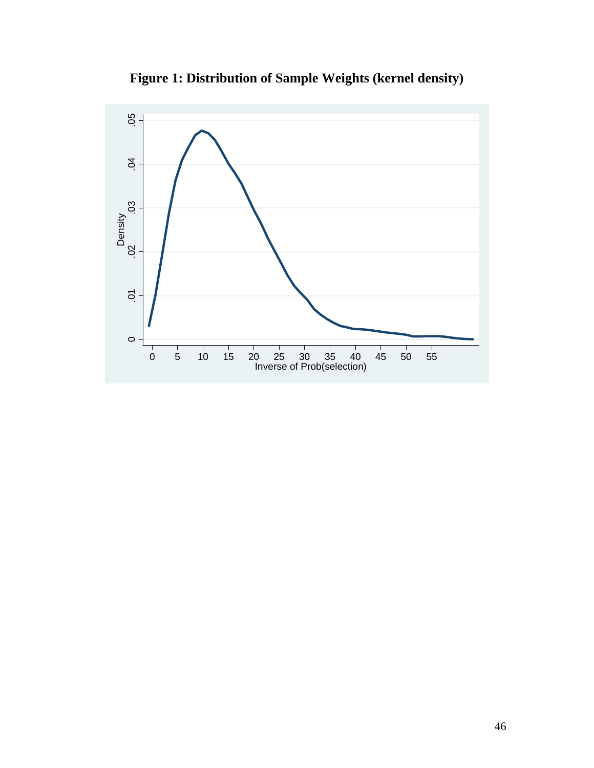**Figure 1: Distribution of Sample Weights (kernel density)** 

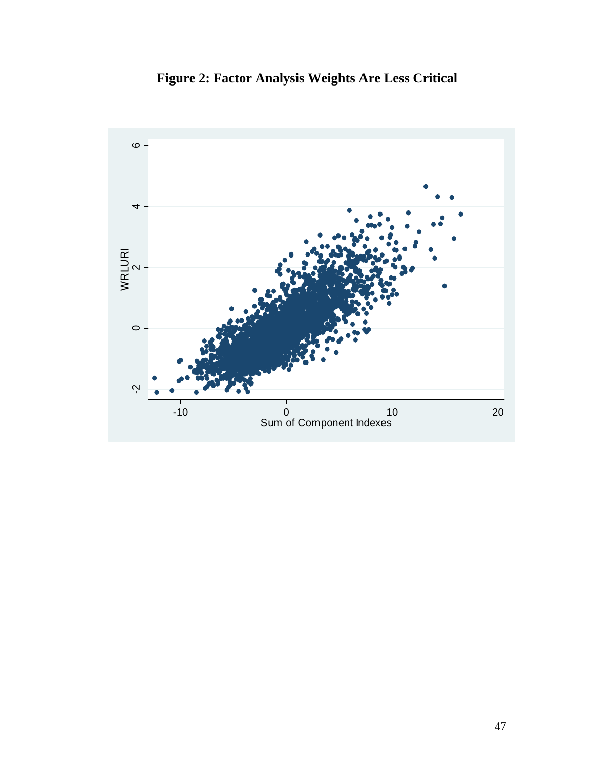

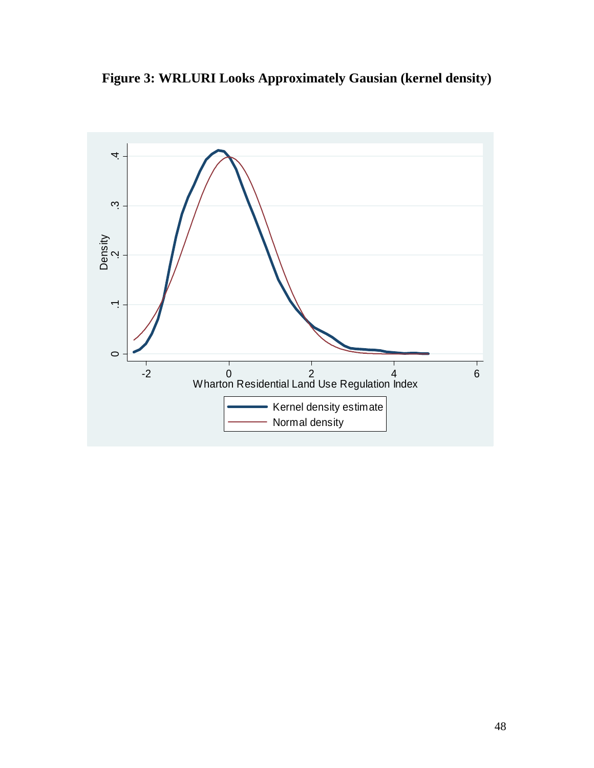**Figure 3: WRLURI Looks Approximately Gausian (kernel density)** 

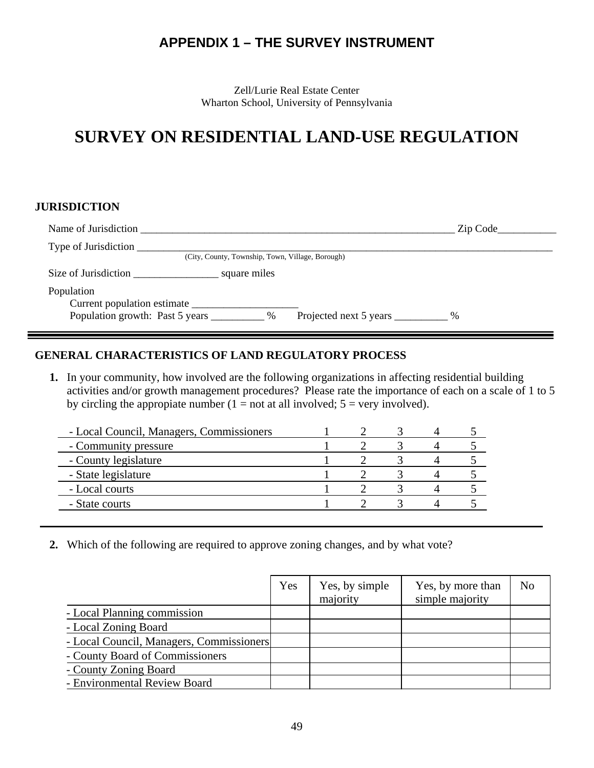# **APPENDIX 1 – THE SURVEY INSTRUMENT**

Zell/Lurie Real Estate Center Wharton School, University of Pennsylvania

# **SURVEY ON RESIDENTIAL LAND-USE REGULATION**

### **JURISDICTION**

| Name of Jurisdiction                          |                                                  |                        | Zip Code |
|-----------------------------------------------|--------------------------------------------------|------------------------|----------|
| Type of Jurisdiction                          |                                                  |                        |          |
|                                               | (City, County, Township, Town, Village, Borough) |                        |          |
| Size of Jurisdiction                          | square miles                                     |                        |          |
| Population<br>Population growth: Past 5 years | $\%$                                             | Projected next 5 years | $\%$     |

### **GENERAL CHARACTERISTICS OF LAND REGULATORY PROCESS**

**1.** In your community, how involved are the following organizations in affecting residential building activities and/or growth management procedures? Please rate the importance of each on a scale of 1 to 5 by circling the appropiate number  $(1 = not at all involved; 5 = very involved).$ 

| - Local Council, Managers, Commissioners |  |  |  |
|------------------------------------------|--|--|--|
| - Community pressure                     |  |  |  |
| - County legislature                     |  |  |  |
| - State legislature                      |  |  |  |
| - Local courts                           |  |  |  |
| - State courts                           |  |  |  |
|                                          |  |  |  |

**2.** Which of the following are required to approve zoning changes, and by what vote?

|                                          | Yes | Yes, by simple<br>majority | Yes, by more than<br>simple majority | N <sub>o</sub> |
|------------------------------------------|-----|----------------------------|--------------------------------------|----------------|
| - Local Planning commission              |     |                            |                                      |                |
| - Local Zoning Board                     |     |                            |                                      |                |
| - Local Council, Managers, Commissioners |     |                            |                                      |                |
| - County Board of Commissioners          |     |                            |                                      |                |
| - County Zoning Board                    |     |                            |                                      |                |
| - Environmental Review Board             |     |                            |                                      |                |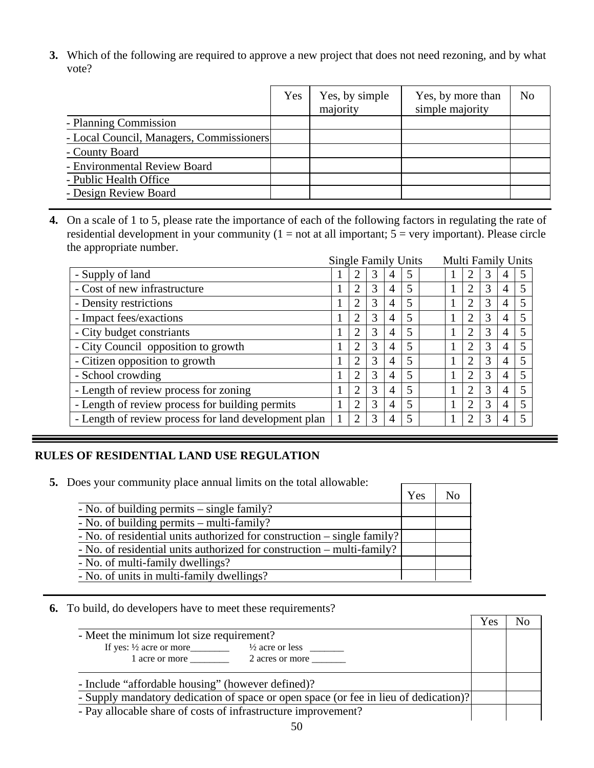**3.** Which of the following are required to approve a new project that does not need rezoning, and by what vote?

|                                          | Yes | Yes, by simple<br>majority | Yes, by more than<br>simple majority | N <sub>o</sub> |
|------------------------------------------|-----|----------------------------|--------------------------------------|----------------|
| - Planning Commission                    |     |                            |                                      |                |
| - Local Council, Managers, Commissioners |     |                            |                                      |                |
| - County Board                           |     |                            |                                      |                |
| - Environmental Review Board             |     |                            |                                      |                |
| - Public Health Office                   |     |                            |                                      |                |
| - Design Review Board                    |     |                            |                                      |                |

**4.** On a scale of 1 to 5, please rate the importance of each of the following factors in regulating the rate of residential development in your community  $(1 = not at all important; 5 = very important)$ . Please circle the appropriate number.

|                                                      | <b>Single Family Units</b> |                |   |                |   |  |                |   |                | Multi Family Units |
|------------------------------------------------------|----------------------------|----------------|---|----------------|---|--|----------------|---|----------------|--------------------|
| - Supply of land                                     |                            | 2              | 3 | 4              | 5 |  | $\overline{2}$ | 3 | 4              |                    |
| - Cost of new infrastructure                         |                            | $\overline{2}$ | 3 | 4              | 5 |  | $\overline{2}$ | 3 | 4              |                    |
| - Density restrictions                               |                            | $\overline{2}$ | 3 | 4              | 5 |  | $\overline{2}$ | 3 | $\overline{4}$ |                    |
| - Impact fees/exactions                              | 1                          | $\overline{2}$ | 3 | 4              | 5 |  | $\overline{2}$ | 3 | 4              |                    |
| - City budget constriants                            | 1                          | $\overline{2}$ | 3 | $\overline{4}$ | 5 |  | $\overline{2}$ | 3 | $\overline{4}$ |                    |
| - City Council opposition to growth                  |                            | $\overline{2}$ | 3 | 4              | 5 |  | $\overline{2}$ | 3 | $\overline{4}$ |                    |
| - Citizen opposition to growth                       |                            | $\overline{2}$ | 3 | $\overline{4}$ | 5 |  | $\overline{2}$ | 3 | $\overline{4}$ |                    |
| - School crowding                                    |                            | 2              | 3 | 4              | 5 |  | $\overline{2}$ | 3 | 4              |                    |
| - Length of review process for zoning                |                            | $\overline{2}$ | 3 | 4              | 5 |  | $\overline{2}$ | 3 | $\overline{4}$ |                    |
| - Length of review process for building permits      |                            | 2              | 3 | $\overline{4}$ | 5 |  | $\overline{2}$ | 3 | $\overline{4}$ |                    |
| - Length of review process for land development plan |                            | $\overline{2}$ | 3 | 4              | 5 |  | $\overline{2}$ | 3 | $\overline{4}$ |                    |

 $\mathsf{r}$ 

T

### **RULES OF RESIDENTIAL LAND USE REGULATION**

**5.** Does your community place annual limits on the total allowable:

|                                                                         | Yes |  |
|-------------------------------------------------------------------------|-----|--|
| - No. of building permits – single family?                              |     |  |
| - No. of building permits – multi-family?                               |     |  |
| - No. of residential units authorized for construction – single family? |     |  |
| - No. of residential units authorized for construction – multi-family?  |     |  |
| - No. of multi-family dwellings?                                        |     |  |
| - No. of units in multi-family dwellings?                               |     |  |

**6.** To build, do developers have to meet these requirements?

|                                                                                      | Yes |  |
|--------------------------------------------------------------------------------------|-----|--|
| - Meet the minimum lot size requirement?                                             |     |  |
| If yes: $\frac{1}{2}$ acre or more<br>$\frac{1}{2}$ acre or less                     |     |  |
| 2 acres or more<br>1 acre or more                                                    |     |  |
| - Include "affordable housing" (however defined)?                                    |     |  |
| - Supply mandatory dedication of space or open space (or fee in lieu of dedication)? |     |  |
| - Pay allocable share of costs of infrastructure improvement?                        |     |  |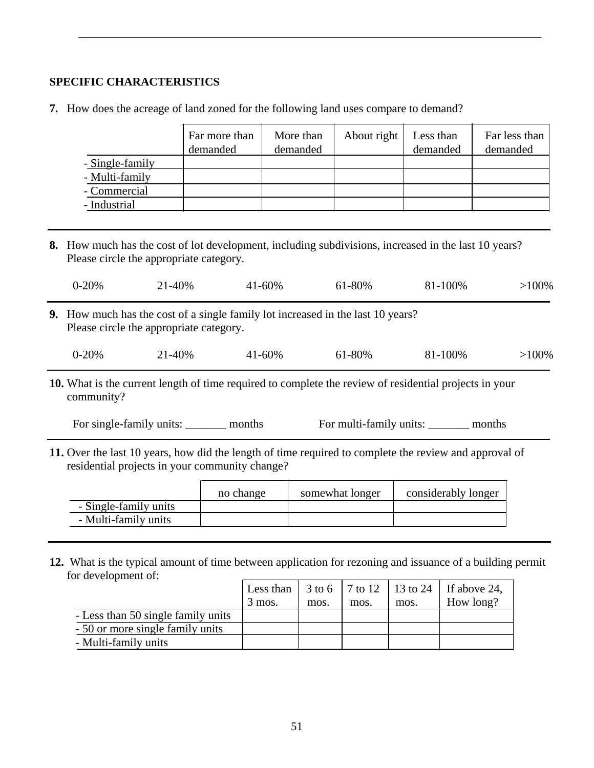# **SPECIFIC CHARACTERISTICS**

**7.** How does the acreage of land zoned for the following land uses compare to demand?

|                                                                                                                                                          | Far more than<br>demanded | More than<br>demanded | About right     | Less than<br>demanded                   | Far less than<br>demanded |
|----------------------------------------------------------------------------------------------------------------------------------------------------------|---------------------------|-----------------------|-----------------|-----------------------------------------|---------------------------|
| - Single-family                                                                                                                                          |                           |                       |                 |                                         |                           |
| - Multi-family                                                                                                                                           |                           |                       |                 |                                         |                           |
| - Commercial                                                                                                                                             |                           |                       |                 |                                         |                           |
| - Industrial                                                                                                                                             |                           |                       |                 |                                         |                           |
| 8. How much has the cost of lot development, including subdivisions, increased in the last 10 years?<br>Please circle the appropriate category.          |                           |                       |                 |                                         |                           |
| $0 - 20%$                                                                                                                                                | 21-40%                    | 41-60%                | 61-80%          | 81-100%                                 | $>100\%$                  |
| $0 - 20%$                                                                                                                                                | 21-40%                    | 41-60%                | 61-80%          | 81-100%                                 |                           |
| 10. What is the current length of time required to complete the review of residential projects in your<br>community?                                     |                           |                       |                 |                                         |                           |
| For single-family units: _________ months                                                                                                                |                           |                       |                 | For multi-family units: ________ months |                           |
| 11. Over the last 10 years, how did the length of time required to complete the review and approval of<br>residential projects in your community change? |                           |                       |                 |                                         | $>100\%$                  |
|                                                                                                                                                          | no change                 |                       | somewhat longer | considerably longer                     |                           |
| - Single-family units                                                                                                                                    |                           |                       |                 |                                         |                           |
| - Multi-family units                                                                                                                                     |                           |                       |                 |                                         |                           |

|                                    |          |      |      |      | Less than $\vert 3 \text{ to } 6 \vert 7 \text{ to } 12 \vert 13 \text{ to } 24 \vert$ If above 24, |
|------------------------------------|----------|------|------|------|-----------------------------------------------------------------------------------------------------|
|                                    | $3$ mos. | mos. | mos. | mos. | How long?                                                                                           |
| - Less than 50 single family units |          |      |      |      |                                                                                                     |
| - 50 or more single family units   |          |      |      |      |                                                                                                     |
| - Multi-family units               |          |      |      |      |                                                                                                     |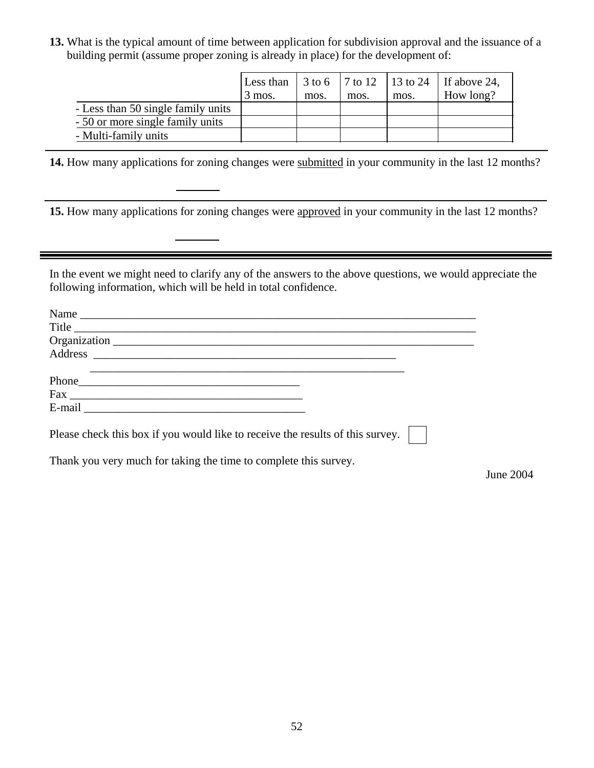**13.** What is the typical amount of time between application for subdivision approval and the issuance of a building permit (assume proper zoning is already in place) for the development of:

|                                    | Less than<br>$3$ mos. | mos. | mos. | mos. | $3 \text{ to } 6$   7 to 12   13 to 24   If above 24,<br>How long? |
|------------------------------------|-----------------------|------|------|------|--------------------------------------------------------------------|
| - Less than 50 single family units |                       |      |      |      |                                                                    |
| - 50 or more single family units   |                       |      |      |      |                                                                    |
| - Multi-family units               |                       |      |      |      |                                                                    |

**14.** How many applications for zoning changes were submitted in your community in the last 12 months?

**15.** How many applications for zoning changes were approved in your community in the last 12 months?

 In the event we might need to clarify any of the answers to the above questions, we would appreciate the following information, which will be held in total confidence.

| Phone <u>and</u> the contract of the contract of the contract of the contract of the contract of the contract of the contract of the contract of the contract of the contract of the contract of the contract of the contract of th |  |
|-------------------------------------------------------------------------------------------------------------------------------------------------------------------------------------------------------------------------------------|--|
| $\text{Fax}$                                                                                                                                                                                                                        |  |

Thank you very much for taking the time to complete this survey.

 $\overline{\phantom{0}}$ 

June 2004

≡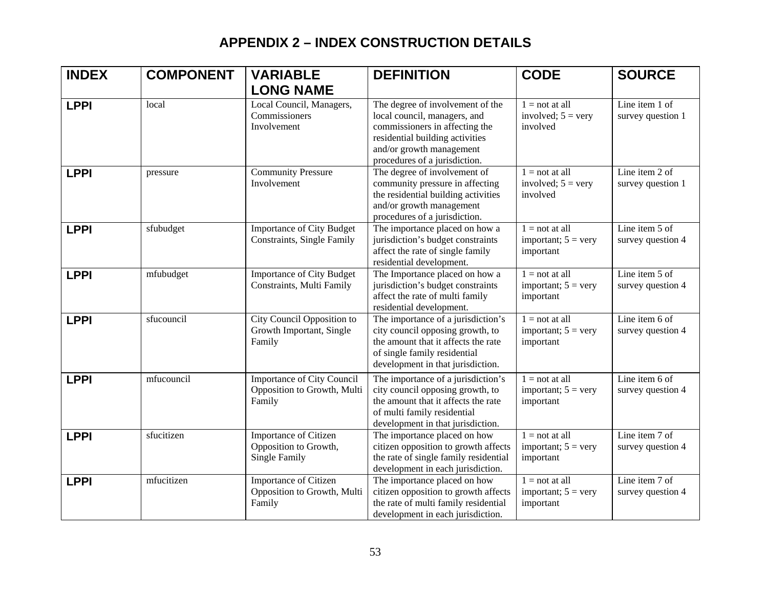## **APPENDIX 2 – INDEX CONSTRUCTION DETAILS**

| <b>INDEX</b> | <b>COMPONENT</b> | <b>VARIABLE</b><br><b>LONG NAME</b>                                        | <b>DEFINITION</b>                                                                                                                                                                                  | <b>CODE</b>                                                   | <b>SOURCE</b>                       |
|--------------|------------------|----------------------------------------------------------------------------|----------------------------------------------------------------------------------------------------------------------------------------------------------------------------------------------------|---------------------------------------------------------------|-------------------------------------|
| <b>LPPI</b>  | local            | Local Council, Managers,<br>Commissioners<br>Involvement                   | The degree of involvement of the<br>local council, managers, and<br>commissioners in affecting the<br>residential building activities<br>and/or growth management<br>procedures of a jurisdiction. | $1 = not at all$<br>involved; $5 = \text{very}$<br>involved   | Line item 1 of<br>survey question 1 |
| <b>LPPI</b>  | pressure         | <b>Community Pressure</b><br>Involvement                                   | The degree of involvement of<br>community pressure in affecting<br>the residential building activities<br>and/or growth management<br>procedures of a jurisdiction.                                | $1 = not at all$<br>involved; $5 = \text{very}$<br>involved   | Line item 2 of<br>survey question 1 |
| <b>LPPI</b>  | sfubudget        | <b>Importance of City Budget</b><br>Constraints, Single Family             | The importance placed on how a<br>jurisdiction's budget constraints<br>affect the rate of single family<br>residential development.                                                                | $1 = not at all$<br>important; $5 = \text{very}$<br>important | Line item 5 of<br>survey question 4 |
| <b>LPPI</b>  | mfubudget        | <b>Importance of City Budget</b><br>Constraints, Multi Family              | The Importance placed on how a<br>jurisdiction's budget constraints<br>affect the rate of multi family<br>residential development.                                                                 | $1 = not at all$<br>important; $5 = \text{very}$<br>important | Line item 5 of<br>survey question 4 |
| <b>LPPI</b>  | sfucouncil       | City Council Opposition to<br>Growth Important, Single<br>Family           | The importance of a jurisdiction's<br>city council opposing growth, to<br>the amount that it affects the rate<br>of single family residential<br>development in that jurisdiction.                 | $1 = not at all$<br>important; $5 = \text{very}$<br>important | Line item 6 of<br>survey question 4 |
| <b>LPPI</b>  | mfucouncil       | <b>Importance of City Council</b><br>Opposition to Growth, Multi<br>Family | The importance of a jurisdiction's<br>city council opposing growth, to<br>the amount that it affects the rate<br>of multi family residential<br>development in that jurisdiction.                  | $1 = not at all$<br>important; $5 = \text{very}$<br>important | Line item 6 of<br>survey question 4 |
| <b>LPPI</b>  | sfucitizen       | Importance of Citizen<br>Opposition to Growth,<br><b>Single Family</b>     | The importance placed on how<br>citizen opposition to growth affects<br>the rate of single family residential<br>development in each jurisdiction.                                                 | $1 = not at all$<br>important; $5 = \text{very}$<br>important | Line item 7 of<br>survey question 4 |
| <b>LPPI</b>  | mfucitizen       | <b>Importance of Citizen</b><br>Opposition to Growth, Multi<br>Family      | The importance placed on how<br>citizen opposition to growth affects<br>the rate of multi family residential<br>development in each jurisdiction.                                                  | $1 = not at all$<br>important; $5 = \text{very}$<br>important | Line item 7 of<br>survey question 4 |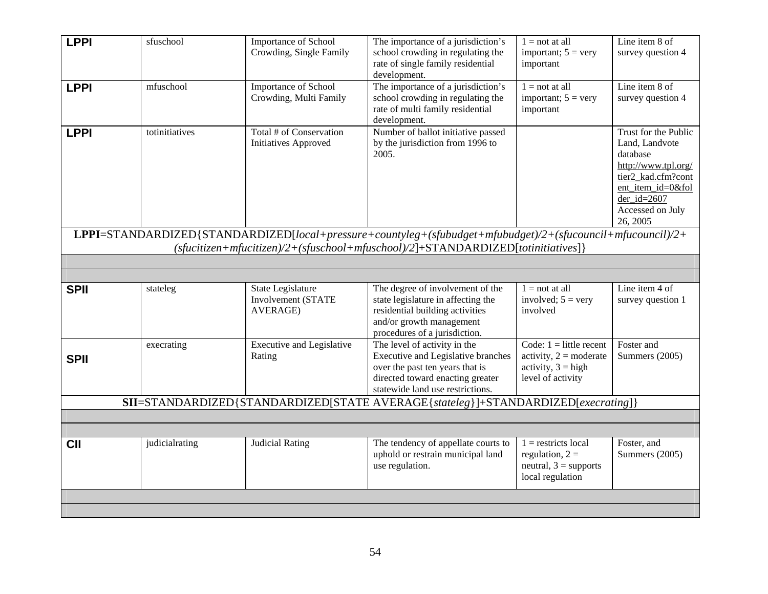| <b>LPPI</b> | sfuschool                                                                                                                                                                                                                                | Importance of School<br>Crowding, Single Family                   | The importance of a jurisdiction's<br>school crowding in regulating the<br>rate of single family residential<br>development.                                                  | $1 = not at all$<br>important; $5 = \text{very}$<br>important                                      | Line item $8 \overline{of}$<br>survey question 4                                                                                                                      |  |  |  |  |  |  |
|-------------|------------------------------------------------------------------------------------------------------------------------------------------------------------------------------------------------------------------------------------------|-------------------------------------------------------------------|-------------------------------------------------------------------------------------------------------------------------------------------------------------------------------|----------------------------------------------------------------------------------------------------|-----------------------------------------------------------------------------------------------------------------------------------------------------------------------|--|--|--|--|--|--|
| <b>LPPI</b> | mfuschool                                                                                                                                                                                                                                | Importance of School<br>Crowding, Multi Family                    | The importance of a jurisdiction's<br>school crowding in regulating the<br>rate of multi family residential<br>development.                                                   | $1 = not at all$<br>important; $5 = \text{very}$<br>important                                      | Line item 8 of<br>survey question 4                                                                                                                                   |  |  |  |  |  |  |
| <b>LPPI</b> | totinitiatives                                                                                                                                                                                                                           | Total # of Conservation<br><b>Initiatives Approved</b>            | Number of ballot initiative passed<br>by the jurisdiction from 1996 to<br>2005.                                                                                               |                                                                                                    | Trust for the Public<br>Land, Landvote<br>database<br>http://www.tpl.org/<br>tier2 kad.cfm?cont<br>ent_item_id=0&fol<br>der $id=2607$<br>Accessed on July<br>26, 2005 |  |  |  |  |  |  |
|             | $LPPI = STANDARDIZED {STANDARDIZED} [local+pressure+count y leg + (sfubudget+nfubudget)/2+ (sfucouncil+mfucouncil)/2+$<br>$(s\text{fucitizen} + m\text{fucitizen})/2 + (sfuschool + m\text{fuschool})/2] + STANDARDIZED[totinitiatives]$ |                                                                   |                                                                                                                                                                               |                                                                                                    |                                                                                                                                                                       |  |  |  |  |  |  |
|             |                                                                                                                                                                                                                                          |                                                                   |                                                                                                                                                                               |                                                                                                    |                                                                                                                                                                       |  |  |  |  |  |  |
| <b>SPII</b> | stateleg                                                                                                                                                                                                                                 | State Legislature<br><b>Involvement (STATE</b><br><b>AVERAGE)</b> | The degree of involvement of the<br>state legislature in affecting the<br>residential building activities<br>and/or growth management<br>procedures of a jurisdiction.        | $1 = not at all$<br>involved; $5 = \text{very}$<br>involved                                        | Line item 4 of<br>survey question 1                                                                                                                                   |  |  |  |  |  |  |
| <b>SPII</b> | execrating                                                                                                                                                                                                                               | <b>Executive and Legislative</b><br>Rating                        | The level of activity in the<br>Executive and Legislative branches<br>over the past ten years that is<br>directed toward enacting greater<br>statewide land use restrictions. | Code: $1 =$ little recent<br>activity, $2 =$ moderate<br>activity, $3 = high$<br>level of activity | Foster and<br>Summers (2005)                                                                                                                                          |  |  |  |  |  |  |
|             |                                                                                                                                                                                                                                          |                                                                   | SII=STANDARDIZED{STANDARDIZED[STATE AVERAGE{stateleg}]+STANDARDIZED[execrating]}                                                                                              |                                                                                                    |                                                                                                                                                                       |  |  |  |  |  |  |
|             |                                                                                                                                                                                                                                          |                                                                   |                                                                                                                                                                               |                                                                                                    |                                                                                                                                                                       |  |  |  |  |  |  |
| <b>CII</b>  | judicialrating                                                                                                                                                                                                                           | <b>Judicial Rating</b>                                            | The tendency of appellate courts to<br>uphold or restrain municipal land<br>use regulation.                                                                                   | $1$ = restricts local<br>regulation, $2 =$<br>neutral, $3 =$ supports<br>local regulation          | Foster, and<br>Summers (2005)                                                                                                                                         |  |  |  |  |  |  |
|             |                                                                                                                                                                                                                                          |                                                                   |                                                                                                                                                                               |                                                                                                    |                                                                                                                                                                       |  |  |  |  |  |  |
|             |                                                                                                                                                                                                                                          |                                                                   |                                                                                                                                                                               |                                                                                                    |                                                                                                                                                                       |  |  |  |  |  |  |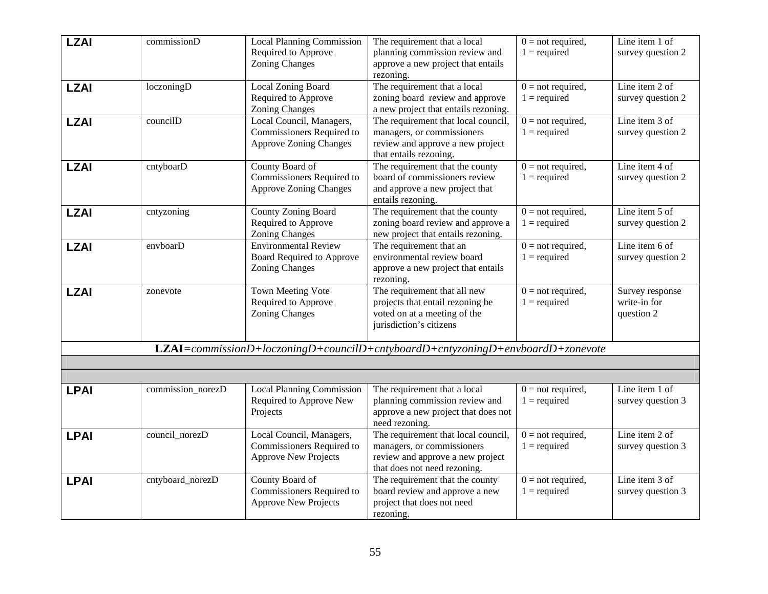| <b>LZAI</b> | commissionD       | <b>Local Planning Commission</b><br>Required to Approve<br><b>Zoning Changes</b>       | The requirement that a local<br>planning commission review and<br>approve a new project that entails<br>rezoning.                     | $0 = not required,$<br>$1 = required$ | Line item 1 of<br>survey question 2           |
|-------------|-------------------|----------------------------------------------------------------------------------------|---------------------------------------------------------------------------------------------------------------------------------------|---------------------------------------|-----------------------------------------------|
| <b>LZAI</b> | loczoningD        | <b>Local Zoning Board</b><br>Required to Approve<br>Zoning Changes                     | The requirement that a local<br>zoning board review and approve<br>a new project that entails rezoning.                               | $0 = not required,$<br>$1 = required$ | Line item 2 of<br>survey question 2           |
| <b>LZAI</b> | councilD          | Local Council, Managers,<br>Commissioners Required to<br><b>Approve Zoning Changes</b> | The requirement that local council,<br>managers, or commissioners<br>review and approve a new project<br>that entails rezoning.       | $0 = not required,$<br>$1 = required$ | Line item 3 of<br>survey question 2           |
| <b>LZAI</b> | cntyboarD         | County Board of<br>Commissioners Required to<br><b>Approve Zoning Changes</b>          | The requirement that the county<br>board of commissioners review<br>and approve a new project that<br>entails rezoning.               | $0 = not required,$<br>$1 = required$ | Line item 4 of<br>survey question 2           |
| <b>LZAI</b> | cntyzoning        | County Zoning Board<br>Required to Approve<br><b>Zoning Changes</b>                    | The requirement that the county<br>zoning board review and approve a<br>new project that entails rezoning.                            | $0 = not required,$<br>$1 = required$ | Line item 5 of<br>survey question 2           |
| <b>LZAI</b> | envboarD          | <b>Environmental Review</b><br>Board Required to Approve<br><b>Zoning Changes</b>      | The requirement that an<br>environmental review board<br>approve a new project that entails<br>rezoning.                              | $0 = not required,$<br>$1 = required$ | Line item 6 of<br>survey question 2           |
| <b>LZAI</b> | zonevote          | Town Meeting Vote<br>Required to Approve<br><b>Zoning Changes</b>                      | The requirement that all new<br>projects that entail rezoning be<br>voted on at a meeting of the<br>jurisdiction's citizens           | $0 = not required,$<br>$1 = required$ | Survey response<br>write-in for<br>question 2 |
|             |                   |                                                                                        | $LZAI=commissionD+loczoningD+countilD+entropy cardD+entropy oningD+envboardD+z one vote$                                              |                                       |                                               |
|             |                   |                                                                                        |                                                                                                                                       |                                       |                                               |
| <b>LPAI</b> | commission_norezD | <b>Local Planning Commission</b><br>Required to Approve New<br>Projects                | The requirement that a local<br>planning commission review and<br>approve a new project that does not<br>need rezoning.               | $0 = not required,$<br>$1 = required$ | Line item 1 of<br>survey question 3           |
| <b>LPAI</b> | council_norezD    | Local Council, Managers,<br>Commissioners Required to<br><b>Approve New Projects</b>   | The requirement that local council,<br>managers, or commissioners<br>review and approve a new project<br>that does not need rezoning. | $0 = not required,$<br>$1 = required$ | Line item 2 of<br>survey question 3           |
| <b>LPAI</b> | cntyboard_norezD  | County Board of<br>Commissioners Required to<br><b>Approve New Projects</b>            | The requirement that the county<br>board review and approve a new<br>project that does not need<br>rezoning.                          | $0 = not required,$<br>$1 = required$ | Line item 3 of<br>survey question 3           |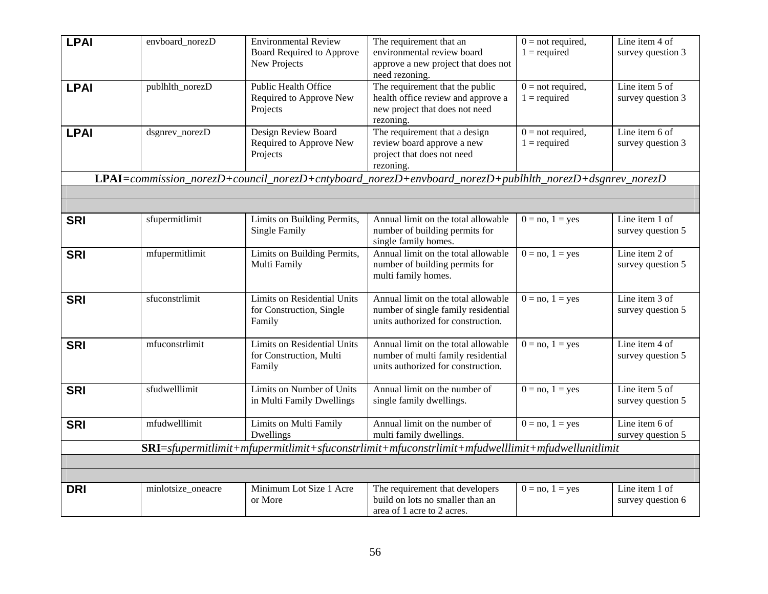| <b>LPAI</b> | envboard_norezD    | <b>Environmental Review</b>        | The requirement that an                                                                             | $0 = not required,$  | Line item 4 of    |
|-------------|--------------------|------------------------------------|-----------------------------------------------------------------------------------------------------|----------------------|-------------------|
|             |                    | Board Required to Approve          | environmental review board                                                                          | $1 = required$       |                   |
|             |                    |                                    |                                                                                                     |                      | survey question 3 |
|             |                    | New Projects                       | approve a new project that does not<br>need rezoning.                                               |                      |                   |
| <b>LPAI</b> | publhlth_norezD    | <b>Public Health Office</b>        | The requirement that the public                                                                     | $0 = not required,$  | Line item 5 of    |
|             |                    | Required to Approve New            | health office review and approve a                                                                  | $1 = required$       | survey question 3 |
|             |                    | Projects                           | new project that does not need                                                                      |                      |                   |
|             |                    |                                    | rezoning.                                                                                           |                      |                   |
| <b>LPAI</b> | dsgnrev_norezD     | Design Review Board                | The requirement that a design                                                                       | $0 = not required,$  | Line item 6 of    |
|             |                    | Required to Approve New            | review board approve a new                                                                          | $1 = required$       | survey question 3 |
|             |                    | Projects                           | project that does not need                                                                          |                      |                   |
|             |                    |                                    | rezoning.                                                                                           |                      |                   |
|             |                    |                                    | $LPAI=commission\_norezD+countil\_norezD+entropy.$                                                  |                      |                   |
|             |                    |                                    |                                                                                                     |                      |                   |
|             |                    |                                    |                                                                                                     |                      |                   |
| <b>SRI</b>  | sfupermitlimit     | Limits on Building Permits,        | Annual limit on the total allowable                                                                 | $0 = no$ , $1 = yes$ | Line item 1 of    |
|             |                    | Single Family                      | number of building permits for                                                                      |                      | survey question 5 |
|             |                    |                                    | single family homes.                                                                                |                      |                   |
| <b>SRI</b>  | mfupermitlimit     | Limits on Building Permits,        | Annual limit on the total allowable                                                                 | $0 = no$ , $1 = yes$ | Line item 2 of    |
|             |                    | Multi Family                       | number of building permits for                                                                      |                      | survey question 5 |
|             |                    |                                    | multi family homes.                                                                                 |                      |                   |
|             |                    |                                    |                                                                                                     |                      |                   |
| <b>SRI</b>  | sfuconstrlimit     | <b>Limits on Residential Units</b> | Annual limit on the total allowable                                                                 | $0 = no$ , $1 = yes$ | Line item 3 of    |
|             |                    | for Construction, Single           | number of single family residential                                                                 |                      | survey question 5 |
|             |                    | Family                             | units authorized for construction.                                                                  |                      |                   |
|             |                    |                                    |                                                                                                     |                      |                   |
| <b>SRI</b>  | mfuconstrlimit     | Limits on Residential Units        | Annual limit on the total allowable                                                                 | $0 = no$ , $1 = yes$ | Line item 4 of    |
|             |                    | for Construction, Multi            | number of multi family residential                                                                  |                      | survey question 5 |
|             |                    | Family                             | units authorized for construction.                                                                  |                      |                   |
| <b>SRI</b>  | sfudwelllimit      | Limits on Number of Units          | Annual limit on the number of                                                                       | $0 = no$ , $1 = yes$ | Line item 5 of    |
|             |                    | in Multi Family Dwellings          | single family dwellings.                                                                            |                      | survey question 5 |
|             |                    |                                    |                                                                                                     |                      |                   |
| <b>SRI</b>  | mfudwelllimit      | Limits on Multi Family             | Annual limit on the number of                                                                       | $0 = no$ , $1 = yes$ | Line item 6 of    |
|             |                    | Dwellings                          | multi family dwellings.                                                                             |                      | survey question 5 |
|             |                    |                                    | $SRI =$ sfupermitlimit+mfupermitlimit+sfuconstrlimit+mfuconstrlimit+mfudwelllimit+mfudwellunitlimit |                      |                   |
|             |                    |                                    |                                                                                                     |                      |                   |
|             |                    |                                    |                                                                                                     |                      |                   |
| <b>DRI</b>  | minlotsize_oneacre | Minimum Lot Size 1 Acre            | The requirement that developers                                                                     | $0 = no$ , $1 = yes$ | Line item 1 of    |
|             |                    | or More                            | build on lots no smaller than an                                                                    |                      | survey question 6 |
|             |                    |                                    | area of 1 acre to 2 acres.                                                                          |                      |                   |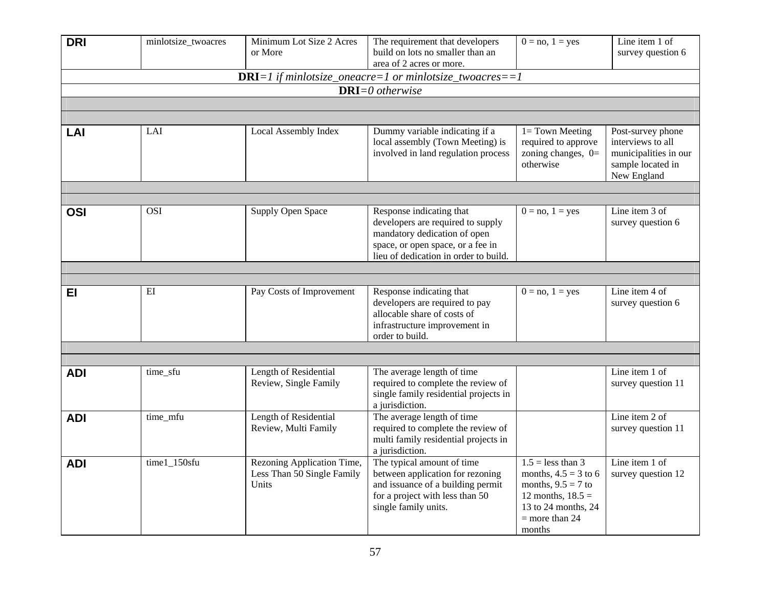| <b>DRI</b> | minlotsize_twoacres | Minimum Lot Size 2 Acres<br>or More                               | The requirement that developers<br>build on lots no smaller than an<br>area of 2 acres or more.                                                                             | $0 = no$ , $1 = yes$                                                                                                                              | Line item 1 of<br>survey question 6                                                                 |
|------------|---------------------|-------------------------------------------------------------------|-----------------------------------------------------------------------------------------------------------------------------------------------------------------------------|---------------------------------------------------------------------------------------------------------------------------------------------------|-----------------------------------------------------------------------------------------------------|
|            |                     |                                                                   | <b>DRI</b> =1 if minlotsize_oneacre=1 or minlotsize_two acres==1                                                                                                            |                                                                                                                                                   |                                                                                                     |
|            |                     |                                                                   | $\mathbf{DRI}=0$ otherwise                                                                                                                                                  |                                                                                                                                                   |                                                                                                     |
|            |                     |                                                                   |                                                                                                                                                                             |                                                                                                                                                   |                                                                                                     |
|            |                     |                                                                   |                                                                                                                                                                             |                                                                                                                                                   |                                                                                                     |
| LAI        | LAI                 | Local Assembly Index                                              | Dummy variable indicating if a<br>local assembly (Town Meeting) is<br>involved in land regulation process                                                                   | $1 = Town Meeting$<br>required to approve<br>zoning changes, 0=<br>otherwise                                                                      | Post-survey phone<br>interviews to all<br>municipalities in our<br>sample located in<br>New England |
|            |                     |                                                                   |                                                                                                                                                                             |                                                                                                                                                   |                                                                                                     |
| <b>OSI</b> | <b>OSI</b>          | Supply Open Space                                                 | Response indicating that<br>developers are required to supply<br>mandatory dedication of open<br>space, or open space, or a fee in<br>lieu of dedication in order to build. | $0 = no, 1 = yes$                                                                                                                                 | Line item 3 of<br>survey question 6                                                                 |
|            |                     |                                                                   |                                                                                                                                                                             |                                                                                                                                                   |                                                                                                     |
|            |                     |                                                                   |                                                                                                                                                                             |                                                                                                                                                   |                                                                                                     |
| EI.        | EI                  | Pay Costs of Improvement                                          | Response indicating that<br>developers are required to pay<br>allocable share of costs of<br>infrastructure improvement in<br>order to build.                               | $0 = no$ , $1 = yes$                                                                                                                              | Line item 4 of<br>survey question 6                                                                 |
|            |                     |                                                                   |                                                                                                                                                                             |                                                                                                                                                   |                                                                                                     |
|            |                     |                                                                   |                                                                                                                                                                             |                                                                                                                                                   |                                                                                                     |
| <b>ADI</b> | time_sfu            | Length of Residential<br>Review, Single Family                    | The average length of time<br>required to complete the review of<br>single family residential projects in<br>a jurisdiction.                                                |                                                                                                                                                   | Line item $1$ of<br>survey question 11                                                              |
| <b>ADI</b> | time_mfu            | Length of Residential<br>Review, Multi Family                     | The average length of time<br>required to complete the review of<br>multi family residential projects in<br>a jurisdiction.                                                 |                                                                                                                                                   | Line item 2 of<br>survey question 11                                                                |
| <b>ADI</b> | time1_150sfu        | Rezoning Application Time,<br>Less Than 50 Single Family<br>Units | The typical amount of time<br>between application for rezoning<br>and issuance of a building permit<br>for a project with less than 50<br>single family units.              | $1.5 =$ less than 3<br>months, $4.5 = 3$ to 6<br>months, $9.5 = 7$ to<br>12 months, $18.5 =$<br>13 to 24 months, 24<br>$=$ more than 24<br>months | Line item 1 of<br>survey question 12                                                                |